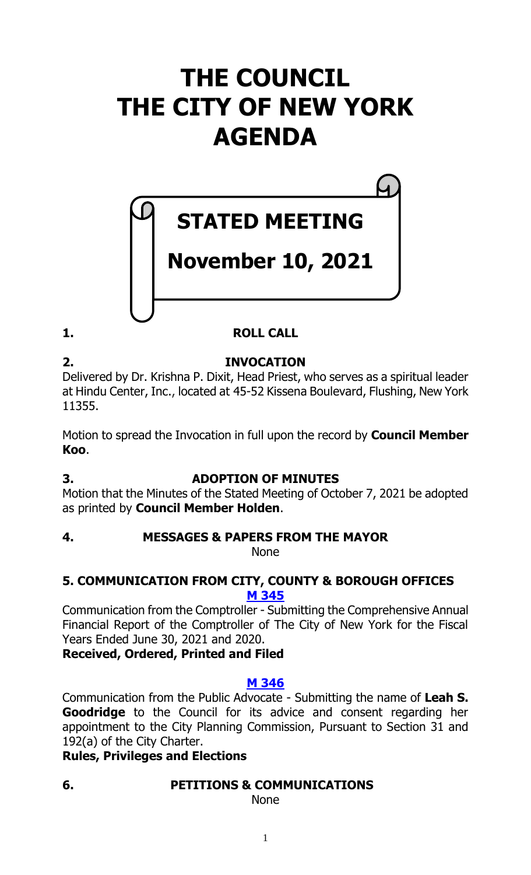# **THE COUNCIL THE CITY OF NEW YORK AGENDA**

# **STATED MEETING**

# **November 10, 2021**

**1. ROLL CALL**

# **2. INVOCATION**

Delivered by Dr. Krishna P. Dixit, Head Priest, who serves as a spiritual leader at Hindu Center, Inc., located at 45-52 Kissena Boulevard, Flushing, New York 11355.

Motion to spread the Invocation in full upon the record by **Council Member Koo**.

# **3. ADOPTION OF MINUTES**

Motion that the Minutes of the Stated Meeting of October 7, 2021 be adopted as printed by **Council Member Holden**.

#### **4. MESSAGES & PAPERS FROM THE MAYOR** None

# **5. COMMUNICATION FROM CITY, COUNTY & BOROUGH OFFICES M [345](https://legistar.council.nyc.gov/LegislationDetail.aspx?ID=5210766&GUID=12BB74D7-AE41-48AD-8D7A-3B19A336EA8D&Options=ID|&Search=)**

Communication from the Comptroller - Submitting the Comprehensive Annual Financial Report of the Comptroller of The City of New York for the Fiscal Years Ended June 30, 2021 and 2020.

**Received, Ordered, Printed and Filed**

# **M [346](https://legistar.council.nyc.gov/LegislationDetail.aspx?ID=5210765&GUID=38FDDD18-50AA-4567-A66D-4C01BD8E2D7F&Options=ID|&Search=)**

Communication from the Public Advocate - Submitting the name of **Leah S. Goodridge** to the Council for its advice and consent regarding her appointment to the City Planning Commission, Pursuant to Section 31 and 192(a) of the City Charter.

# **Rules, Privileges and Elections**

# **6. PETITIONS & COMMUNICATIONS**

None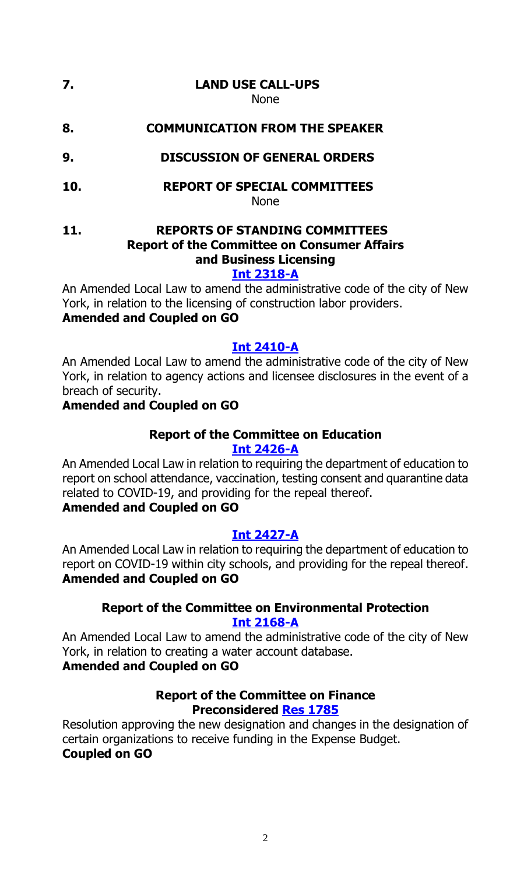#### **7. LAND USE CALL-UPS** None

**8. COMMUNICATION FROM THE SPEAKER**

- **9. DISCUSSION OF GENERAL ORDERS**
- **10. REPORT OF SPECIAL COMMITTEES**

None

**11. REPORTS OF STANDING COMMITTEES Report of the Committee on Consumer Affairs and Business Licensing**

#### **[Int 2318-A](https://legistar.council.nyc.gov/LegislationDetail.aspx?ID=4966517&GUID=23CA198A-0612-439D-AB54-14065535D735&Options=&Search=)**

An Amended Local Law to amend the administrative code of the city of New York, in relation to the licensing of construction labor providers.

# **Amended and Coupled on GO**

#### **[Int 2410-A](https://legistar.council.nyc.gov/LegislationDetail.aspx?ID=5161482&GUID=1636F161-CC74-49DD-959E-BF17C719FB53&Options=&Search=)**

An Amended Local Law to amend the administrative code of the city of New York, in relation to agency actions and licensee disclosures in the event of a breach of security.

### **Amended and Coupled on GO**

#### **Report of the Committee on Education [Int 2426-A](https://legistar.council.nyc.gov/LegislationDetail.aspx?ID=5159257&GUID=FE54F6F4-5A23-4816-8E4D-FC037306BC80&Options=&Search=)**

An Amended Local Law in relation to requiring the department of education to report on school attendance, vaccination, testing consent and quarantine data related to COVID-19, and providing for the repeal thereof.

# **Amended and Coupled on GO**

# **[Int 2427-A](https://legistar.council.nyc.gov/LegislationDetail.aspx?ID=5159259&GUID=DB44C3EA-5C9E-4C06-A75E-2F0EB1B15ECA&Options=&Search=)**

An Amended Local Law in relation to requiring the department of education to report on COVID-19 within city schools, and providing for the repeal thereof. **Amended and Coupled on GO**

### **Report of the Committee on Environmental Protection [Int 2168-A](https://legistar.council.nyc.gov/LegislationDetail.aspx?ID=4729325&GUID=12153BAE-002E-4297-A7E7-ECC32162A143&Options=&Search=)**

An Amended Local Law to amend the administrative code of the city of New York, in relation to creating a water account database.

# **Amended and Coupled on GO**

#### **Report of the Committee on Finance Preconsidered Res [1785](https://legistar.council.nyc.gov/LegislationDetail.aspx?ID=5209611&GUID=15DDD229-C0D5-435B-9B78-74DD056E207A&Options=&Search=)**

Resolution approving the new designation and changes in the designation of certain organizations to receive funding in the Expense Budget. **Coupled on GO**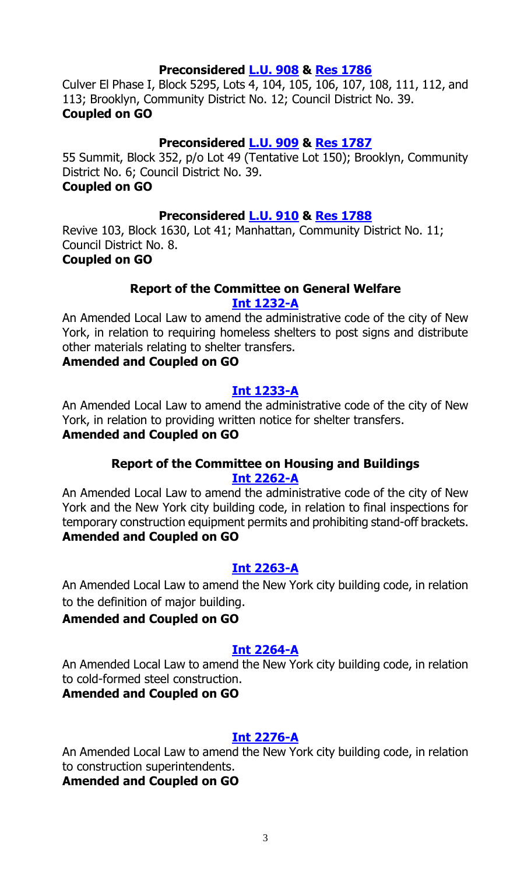#### **Preconsidered [L.U.](https://legistar.council.nyc.gov/LegislationDetail.aspx?ID=5209720&GUID=B716172C-FA08-453F-8086-85AD24E3E23B&Options=&Search=) 908 & Res [1786](https://legistar.council.nyc.gov/LegislationDetail.aspx?ID=5211675&GUID=45F3F5D6-E1AE-433F-BC8F-324145B04324&Options=&Search=)**

Culver El Phase I, Block 5295, Lots 4, 104, 105, 106, 107, 108, 111, 112, and 113; Brooklyn, Community District No. 12; Council District No. 39. **Coupled on GO**

#### **Preconsidered [L.U.](https://legistar.council.nyc.gov/LegislationDetail.aspx?ID=5209721&GUID=5857BD47-1096-4C5C-ADF5-617144D6D35E&Options=&Search=) 909 & Res [1787](https://legistar.council.nyc.gov/LegislationDetail.aspx?ID=5211676&GUID=FE763607-3CEB-4117-91B1-95B86945C1BB&Options=&Search=)**

55 Summit, Block 352, p/o Lot 49 (Tentative Lot 150); Brooklyn, Community District No. 6; Council District No. 39.

# **Coupled on GO**

#### **Preconsidered [L.U.](https://legistar.council.nyc.gov/LegislationDetail.aspx?ID=5209718&GUID=78B26214-7D29-4131-9624-6B502B110EB9&Options=&Search=) 910 & Res [1788](https://legistar.council.nyc.gov/LegislationDetail.aspx?ID=5211678&GUID=EF7A0C6B-8356-49A2-9ABC-8CB87B40504B&Options=&Search=)**

Revive 103, Block 1630, Lot 41; Manhattan, Community District No. 11; Council District No. 8.

#### **Coupled on GO**

#### **Report of the Committee on General Welfare Int [1232-A](https://legistar.council.nyc.gov/LegislationDetail.aspx?ID=3754265&GUID=07813CED-5A55-45CA-9E4D-0B64EEEF9072&Options=&Search=)**

An Amended Local Law to amend the administrative code of the city of New York, in relation to requiring homeless shelters to post signs and distribute other materials relating to shelter transfers.

#### **Amended and Coupled on GO**

#### **Int [1233-A](https://legistar.council.nyc.gov/LegislationDetail.aspx?ID=3754263&GUID=F5390D9F-E95E-4FDC-BA02-5AB91E1E72F4&Options=&Search=)**

An Amended Local Law to amend the administrative code of the city of New York, in relation to providing written notice for shelter transfers.

#### **Amended and Coupled on GO**

#### **Report of the Committee on Housing and Buildings Int [2262-A](https://legistar.council.nyc.gov/LegislationDetail.aspx?ID=4920294&GUID=E0C17734-0D62-4A70-8192-01A977357D3D&Options=&Search=)**

An Amended Local Law to amend the administrative code of the city of New York and the New York city building code, in relation to final inspections for temporary construction equipment permits and prohibiting stand-off brackets. **Amended and Coupled on GO**

#### **Int [2263-A](https://legistar.council.nyc.gov/LegislationDetail.aspx?ID=4920295&GUID=F0E784E6-BF2B-4BFE-AF9A-9930BE4FF816&Options=&Search=)**

An Amended Local Law to amend the New York city building code, in relation to the definition of major building.

#### **Amended and Coupled on GO**

#### **Int [2264-A](https://legistar.council.nyc.gov/LegislationDetail.aspx?ID=4920297&GUID=2C3C87BE-D8BB-487D-8640-EE31C82BB3FF&Options=&Search=)**

An Amended Local Law to amend the New York city building code, in relation to cold-formed steel construction.

### **Amended and Coupled on GO**

#### **Int [2276-A](https://legistar.council.nyc.gov/LegislationDetail.aspx?ID=4920296&GUID=4D54DF22-BF79-4287-A05E-94796B597287&Options=&Search=)**

An Amended Local Law to amend the New York city building code, in relation to construction superintendents.

#### **Amended and Coupled on GO**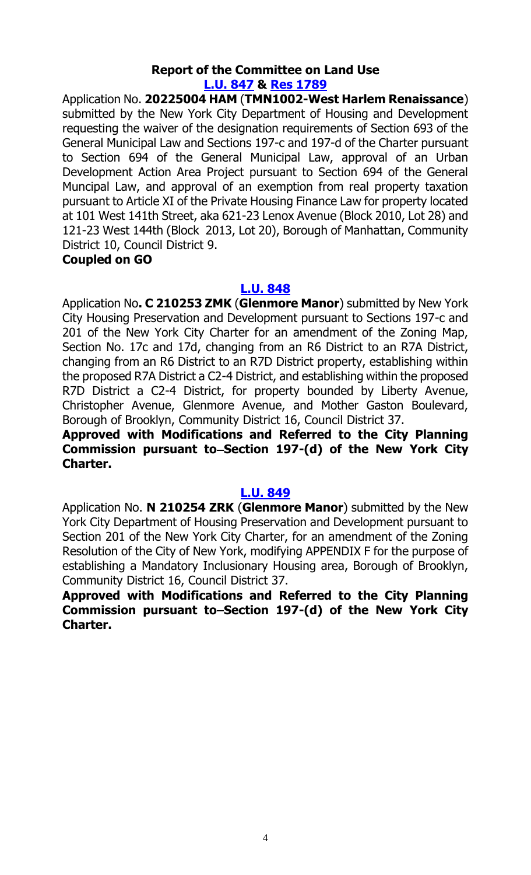#### **Report of the Committee on Land Use [L.U.](https://legistar.council.nyc.gov/LegislationDetail.aspx?ID=5146244&GUID=810BEA44-AB45-4341-B9AB-28458D30D17C&Options=&Search=) 847 & Res [1789](https://legistar.council.nyc.gov/LegislationDetail.aspx?ID=5211677&GUID=6E4615BD-9A7F-42DE-BFAF-04ADA372B064&Options=&Search=)**

Application No. **20225004 HAM** (**TMN1002-West Harlem Renaissance**) submitted by the New York City Department of Housing and Development requesting the waiver of the designation requirements of Section 693 of the General Municipal Law and Sections 197-c and 197-d of the Charter pursuant to Section 694 of the General Municipal Law, approval of an Urban Development Action Area Project pursuant to Section 694 of the General Muncipal Law, and approval of an exemption from real property taxation pursuant to Article XI of the Private Housing Finance Law for property located at 101 West 141th Street, aka 621-23 Lenox Avenue (Block 2010, Lot 28) and 121-23 West 144th (Block 2013, Lot 20), Borough of Manhattan, Community District 10, Council District 9.

#### **Coupled on GO**

#### **[L.U.](https://legistar.council.nyc.gov/LegislationDetail.aspx?ID=5146245&GUID=A01A9922-88C2-436B-8BBC-5601251CDBCE&Options=&Search=) 848**

Application No**. C 210253 ZMK** (**Glenmore Manor**) submitted by New York City Housing Preservation and Development pursuant to Sections 197-c and 201 of the New York City Charter for an amendment of the Zoning Map, Section No. 17c and 17d, changing from an R6 District to an R7A District, changing from an R6 District to an R7D District property, establishing within the proposed R7A District a C2-4 District, and establishing within the proposed R7D District a C2-4 District, for property bounded by Liberty Avenue, Christopher Avenue, Glenmore Avenue, and Mother Gaston Boulevard, Borough of Brooklyn, Community District 16, Council District 37.

#### **Approved with Modifications and Referred to the City Planning Commission pursuant to Section 197-(d) of the New York City Charter.**

#### **[L.U. 849](https://legistar.council.nyc.gov/LegislationDetail.aspx?ID=5146246&GUID=7138B5C4-0DE0-4382-BAEF-900129F2E432&Options=&Search=)**

Application No. **N 210254 ZRK** (**Glenmore Manor**) submitted by the New York City Department of Housing Preservation and Development pursuant to Section 201 of the New York City Charter, for an amendment of the Zoning Resolution of the City of New York, modifying APPENDIX F for the purpose of establishing a Mandatory Inclusionary Housing area, Borough of Brooklyn, Community District 16, Council District 37.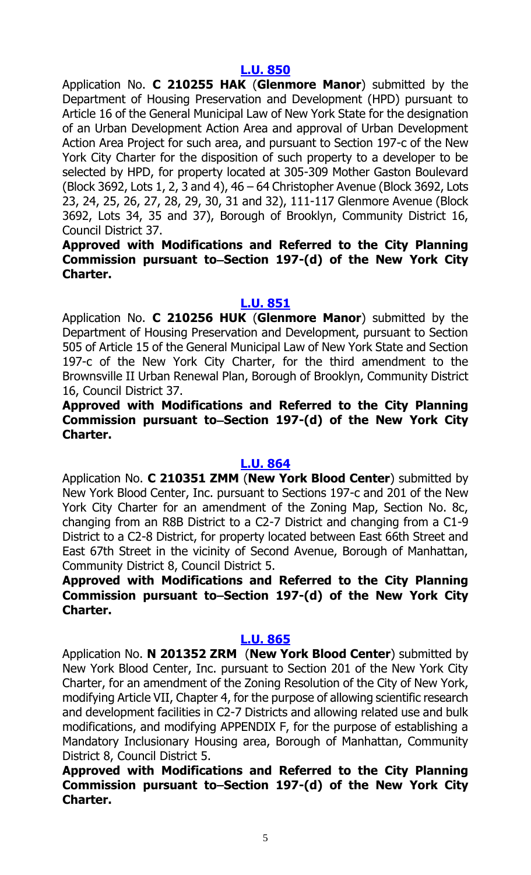Application No. **C 210255 HAK** (**Glenmore Manor**) submitted by the Department of Housing Preservation and Development (HPD) pursuant to Article 16 of the General Municipal Law of New York State for the designation of an Urban Development Action Area and approval of Urban Development Action Area Project for such area, and pursuant to Section 197-c of the New York City Charter for the disposition of such property to a developer to be selected by HPD, for property located at 305-309 Mother Gaston Boulevard (Block 3692, Lots 1, 2, 3 and 4), 46 – 64 Christopher Avenue (Block 3692, Lots 23, 24, 25, 26, 27, 28, 29, 30, 31 and 32), 111-117 Glenmore Avenue (Block 3692, Lots 34, 35 and 37), Borough of Brooklyn, Community District 16, Council District 37.

### **Approved with Modifications and Referred to the City Planning Commission pursuant to Section 197-(d) of the New York City Charter.**

#### **[L.U. 851](https://legistar.council.nyc.gov/LegislationDetail.aspx?ID=5146248&GUID=A9588B9E-97BD-494D-B436-3545AF41F813&Options=&Search=)**

Application No. **C 210256 HUK** (**Glenmore Manor**) submitted by the Department of Housing Preservation and Development, pursuant to Section 505 of Article 15 of the General Municipal Law of New York State and Section 197-c of the New York City Charter, for the third amendment to the Brownsville II Urban Renewal Plan, Borough of Brooklyn, Community District 16, Council District 37.

### **Approved with Modifications and Referred to the City Planning**  Commission pursuant to–Section 197-(d) of the New York City **Charter.**

#### **[L.U. 864](https://legistar.council.nyc.gov/LegislationDetail.aspx?ID=5146266&GUID=0D4C5C8F-72DB-4DCD-90CB-AB04CDEDE84D&Options=&Search=)**

Application No. **C 210351 ZMM** (**New York Blood Center**) submitted by New York Blood Center, Inc. pursuant to Sections 197-c and 201 of the New York City Charter for an amendment of the Zoning Map, Section No. 8c, changing from an R8B District to a C2-7 District and changing from a C1-9 District to a C2-8 District, for property located between East 66th Street and East 67th Street in the vicinity of Second Avenue, Borough of Manhattan, Community District 8, Council District 5.

**Approved with Modifications and Referred to the City Planning Commission pursuant to Section 197-(d) of the New York City Charter.**

#### **[L.U. 865](https://legistar.council.nyc.gov/LegislationDetail.aspx?ID=5146267&GUID=07DFC651-AF22-4BED-BCC5-5532EE3E2A8A&Options=&Search=)**

Application No. **N 201352 ZRM** (**New York Blood Center**) submitted by New York Blood Center, Inc. pursuant to Section 201 of the New York City Charter, for an amendment of the Zoning Resolution of the City of New York, modifying Article VII, Chapter 4, for the purpose of allowing scientific research and development facilities in C2-7 Districts and allowing related use and bulk modifications, and modifying APPENDIX F, for the purpose of establishing a Mandatory Inclusionary Housing area, Borough of Manhattan, Community District 8, Council District 5.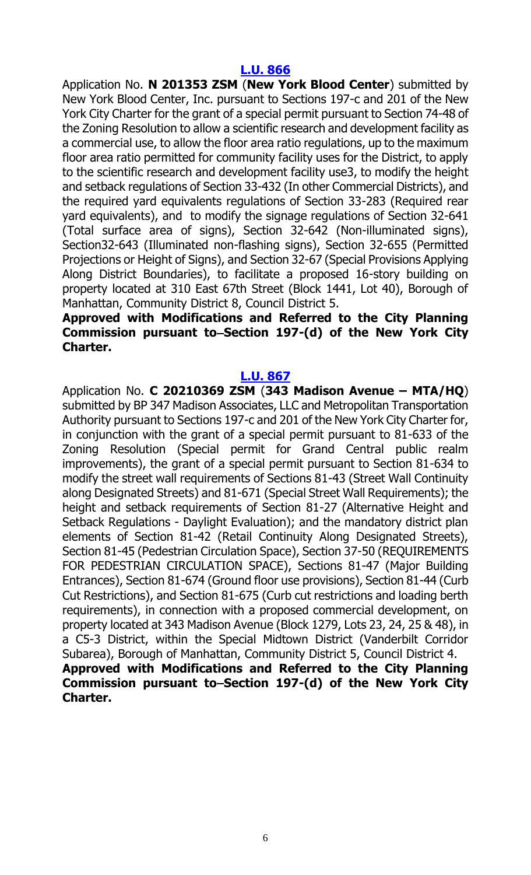Application No. **N 201353 ZSM** (**New York Blood Center**) submitted by New York Blood Center, Inc. pursuant to Sections 197-c and 201 of the New York City Charter for the grant of a special permit pursuant to Section 74-48 of the Zoning Resolution to allow a scientific research and development facility as a commercial use, to allow the floor area ratio regulations, up to the maximum floor area ratio permitted for community facility uses for the District, to apply to the scientific research and development facility use3, to modify the height and setback regulations of Section 33-432 (In other Commercial Districts), and the required yard equivalents regulations of Section 33-283 (Required rear yard equivalents), and to modify the signage regulations of Section 32-641 (Total surface area of signs), Section 32-642 (Non-illuminated signs), Section32-643 (Illuminated non-flashing signs), Section 32-655 (Permitted Projections or Height of Signs), and Section 32-67 (Special Provisions Applying Along District Boundaries), to facilitate a proposed 16-story building on property located at 310 East 67th Street (Block 1441, Lot 40), Borough of Manhattan, Community District 8, Council District 5.

#### **Approved with Modifications and Referred to the City Planning**  Commission pursuant to–Section 197-(d) of the New York City **Charter.**

#### **[L.U. 867](https://legistar.council.nyc.gov/LegislationDetail.aspx?ID=5146269&GUID=8AFCE5D3-4840-4A6F-9313-804F716C183F&Options=&Search=)**

Application No. **C 20210369 ZSM** (**343 Madison Avenue – MTA/HQ**) submitted by BP 347 Madison Associates, LLC and Metropolitan Transportation Authority pursuant to Sections 197-c and 201 of the New York City Charter for, in conjunction with the grant of a special permit pursuant to 81-633 of the Zoning Resolution (Special permit for Grand Central public realm improvements), the grant of a special permit pursuant to Section 81-634 to modify the street wall requirements of Sections 81-43 (Street Wall Continuity along Designated Streets) and 81-671 (Special Street Wall Requirements); the height and setback requirements of Section 81-27 (Alternative Height and Setback Regulations - Daylight Evaluation); and the mandatory district plan elements of Section 81-42 (Retail Continuity Along Designated Streets), Section 81-45 (Pedestrian Circulation Space), Section 37-50 (REQUIREMENTS FOR PEDESTRIAN CIRCULATION SPACE), Sections 81-47 (Major Building Entrances), Section 81-674 (Ground floor use provisions), Section 81-44 (Curb Cut Restrictions), and Section 81-675 (Curb cut restrictions and loading berth requirements), in connection with a proposed commercial development, on property located at 343 Madison Avenue (Block 1279, Lots 23, 24, 25 & 48), in a C5-3 District, within the Special Midtown District (Vanderbilt Corridor Subarea), Borough of Manhattan, Community District 5, Council District 4. **Approved with Modifications and Referred to the City Planning**  Commission pursuant to–Section 197-(d) of the New York City **Charter.**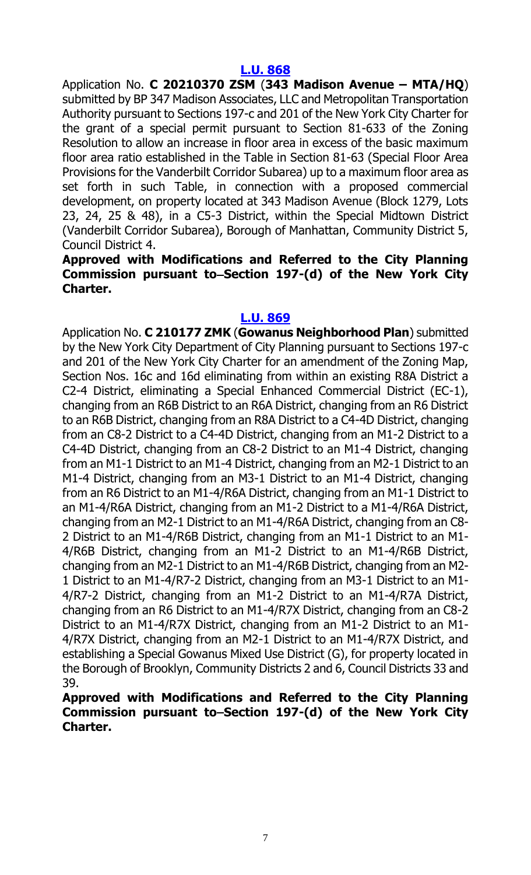Application No. **C 20210370 ZSM** (**343 Madison Avenue – MTA/HQ**) submitted by BP 347 Madison Associates, LLC and Metropolitan Transportation Authority pursuant to Sections 197-c and 201 of the New York City Charter for the grant of a special permit pursuant to Section 81-633 of the Zoning Resolution to allow an increase in floor area in excess of the basic maximum floor area ratio established in the Table in Section 81-63 (Special Floor Area Provisions for the Vanderbilt Corridor Subarea) up to a maximum floor area as set forth in such Table, in connection with a proposed commercial development, on property located at 343 Madison Avenue (Block 1279, Lots 23, 24, 25 & 48), in a C5-3 District, within the Special Midtown District (Vanderbilt Corridor Subarea), Borough of Manhattan, Community District 5, Council District 4.

### **Approved with Modifications and Referred to the City Planning Commission pursuant to Section 197-(d) of the New York City Charter.**

#### **[L.U. 869](https://legistar.council.nyc.gov/LegislationDetail.aspx?ID=5146271&GUID=51577F77-8B68-40C0-95C6-D400F3B7F97A&Options=&Search=)**

Application No. **C 210177 ZMK** (**Gowanus Neighborhood Plan**) submitted by the New York City Department of City Planning pursuant to Sections 197-c and 201 of the New York City Charter for an amendment of the Zoning Map, Section Nos. 16c and 16d eliminating from within an existing R8A District a C2-4 District, eliminating a Special Enhanced Commercial District (EC-1), changing from an R6B District to an R6A District, changing from an R6 District to an R6B District, changing from an R8A District to a C4-4D District, changing from an C8-2 District to a C4-4D District, changing from an M1-2 District to a C4-4D District, changing from an C8-2 District to an M1-4 District, changing from an M1-1 District to an M1-4 District, changing from an M2-1 District to an M1-4 District, changing from an M3-1 District to an M1-4 District, changing from an R6 District to an M1-4/R6A District, changing from an M1-1 District to an M1-4/R6A District, changing from an M1-2 District to a M1-4/R6A District, changing from an M2-1 District to an M1-4/R6A District, changing from an C8- 2 District to an M1-4/R6B District, changing from an M1-1 District to an M1- 4/R6B District, changing from an M1-2 District to an M1-4/R6B District, changing from an M2-1 District to an M1-4/R6B District, changing from an M2- 1 District to an M1-4/R7-2 District, changing from an M3-1 District to an M1- 4/R7-2 District, changing from an M1-2 District to an M1-4/R7A District, changing from an R6 District to an M1-4/R7X District, changing from an C8-2 District to an M1-4/R7X District, changing from an M1-2 District to an M1- 4/R7X District, changing from an M2-1 District to an M1-4/R7X District, and establishing a Special Gowanus Mixed Use District (G), for property located in the Borough of Brooklyn, Community Districts 2 and 6, Council Districts 33 and 39.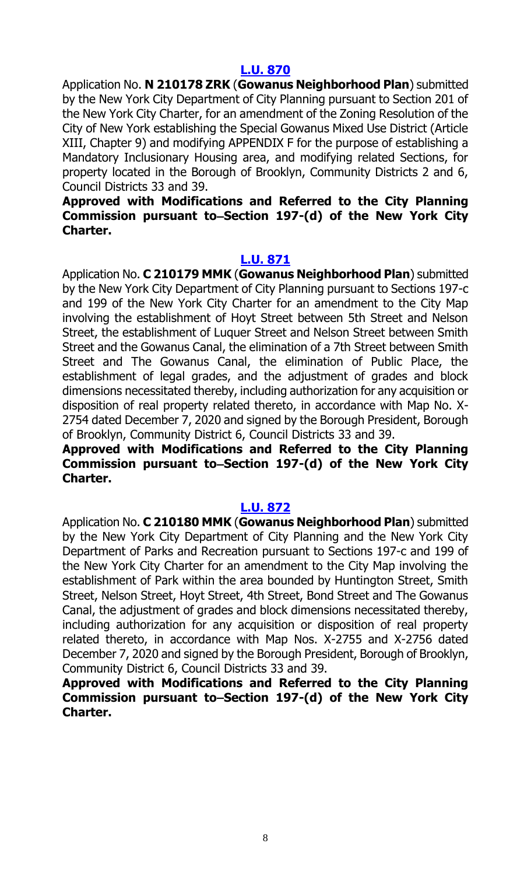Application No. **N 210178 ZRK** (**Gowanus Neighborhood Plan**) submitted by the New York City Department of City Planning pursuant to Section 201 of the New York City Charter, for an amendment of the Zoning Resolution of the City of New York establishing the Special Gowanus Mixed Use District (Article XIII, Chapter 9) and modifying APPENDIX F for the purpose of establishing a Mandatory Inclusionary Housing area, and modifying related Sections, for property located in the Borough of Brooklyn, Community Districts 2 and 6, Council Districts 33 and 39.

#### **Approved with Modifications and Referred to the City Planning Commission pursuant to Section 197-(d) of the New York City Charter.**

#### **[L.U. 871](https://legistar.council.nyc.gov/LegislationDetail.aspx?ID=5146273&GUID=AA6B53F5-9CD4-4F39-A91F-14DB348A7A25&Options=&Search=)**

Application No. **C 210179 MMK** (**Gowanus Neighborhood Plan**) submitted by the New York City Department of City Planning pursuant to Sections 197-c and 199 of the New York City Charter for an amendment to the City Map involving the establishment of Hoyt Street between 5th Street and Nelson Street, the establishment of Luquer Street and Nelson Street between Smith Street and the Gowanus Canal, the elimination of a 7th Street between Smith Street and The Gowanus Canal, the elimination of Public Place, the establishment of legal grades, and the adjustment of grades and block dimensions necessitated thereby, including authorization for any acquisition or disposition of real property related thereto, in accordance with Map No. X-2754 dated December 7, 2020 and signed by the Borough President, Borough of Brooklyn, Community District 6, Council Districts 33 and 39.

# **Approved with Modifications and Referred to the City Planning**  Commission pursuant to–Section 197-(d) of the New York City **Charter.**

#### **[L.U. 872](https://legistar.council.nyc.gov/LegislationDetail.aspx?ID=5146274&GUID=2983A90E-E6E2-45D6-8443-1E8A551DB5FF&Options=&Search=)**

Application No. **C 210180 MMK** (**Gowanus Neighborhood Plan**) submitted by the New York City Department of City Planning and the New York City Department of Parks and Recreation pursuant to Sections 197-c and 199 of the New York City Charter for an amendment to the City Map involving the establishment of Park within the area bounded by Huntington Street, Smith Street, Nelson Street, Hoyt Street, 4th Street, Bond Street and The Gowanus Canal, the adjustment of grades and block dimensions necessitated thereby, including authorization for any acquisition or disposition of real property related thereto, in accordance with Map Nos. X-2755 and X-2756 dated December 7, 2020 and signed by the Borough President, Borough of Brooklyn, Community District 6, Council Districts 33 and 39.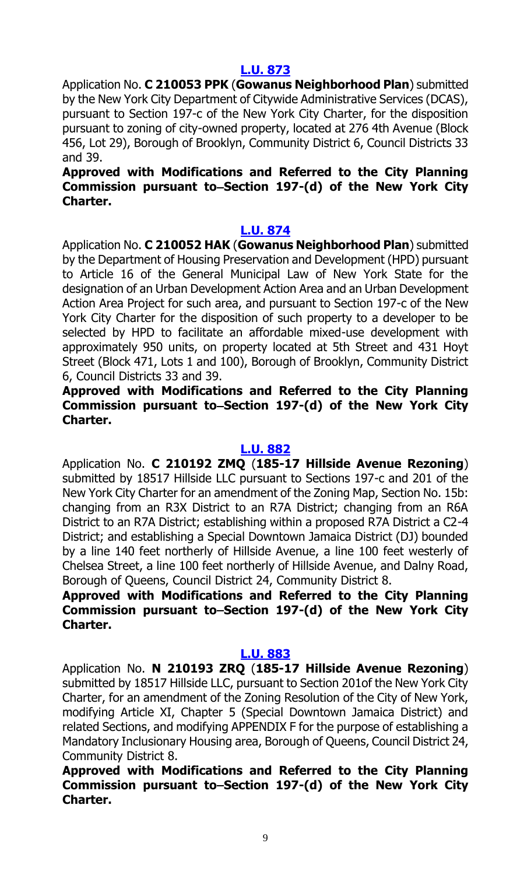Application No. **C 210053 PPK** (**Gowanus Neighborhood Plan**) submitted by the New York City Department of Citywide Administrative Services (DCAS), pursuant to Section 197-c of the New York City Charter, for the disposition pursuant to zoning of city-owned property, located at 276 4th Avenue (Block 456, Lot 29), Borough of Brooklyn, Community District 6, Council Districts 33 and 39.

# **Approved with Modifications and Referred to the City Planning**  Commission pursuant to-Section 197-(d) of the New York City **Charter.**

#### **[L.U. 874](https://legistar.council.nyc.gov/LegislationDetail.aspx?ID=5146276&GUID=2CCABA2E-E6F5-4740-A573-E3E96B8C4E2B&Options=&Search=)**

Application No. **C 210052 HAK** (**Gowanus Neighborhood Plan**) submitted by the Department of Housing Preservation and Development (HPD) pursuant to Article 16 of the General Municipal Law of New York State for the designation of an Urban Development Action Area and an Urban Development Action Area Project for such area, and pursuant to Section 197-c of the New York City Charter for the disposition of such property to a developer to be selected by HPD to facilitate an affordable mixed-use development with approximately 950 units, on property located at 5th Street and 431 Hoyt Street (Block 471, Lots 1 and 100), Borough of Brooklyn, Community District 6, Council Districts 33 and 39.

### **Approved with Modifications and Referred to the City Planning Commission pursuant to Section 197-(d) of the New York City Charter.**

#### **[L.U. 882](https://legistar.council.nyc.gov/LegislationDetail.aspx?ID=5161402&GUID=889B7631-21D4-45BD-BD3F-3F51C74AE0FD&Options=&Search=)**

Application No. **C 210192 ZMQ** (**185-17 Hillside Avenue Rezoning**) submitted by 18517 Hillside LLC pursuant to Sections 197-c and 201 of the New York City Charter for an amendment of the Zoning Map, Section No. 15b: changing from an R3X District to an R7A District; changing from an R6A District to an R7A District; establishing within a proposed R7A District a C2-4 District; and establishing a Special Downtown Jamaica District (DJ) bounded by a line 140 feet northerly of Hillside Avenue, a line 100 feet westerly of Chelsea Street, a line 100 feet northerly of Hillside Avenue, and Dalny Road, Borough of Queens, Council District 24, Community District 8.

# **Approved with Modifications and Referred to the City Planning Commission pursuant to Section 197-(d) of the New York City Charter.**

#### **[L.U. 883](https://legistar.council.nyc.gov/LegislationDetail.aspx?ID=5161403&GUID=79545B74-FE70-4DED-BBB4-954399BFB0D6&Options=&Search=)**

Application No. **N 210193 ZRQ** (**185-17 Hillside Avenue Rezoning**) submitted by 18517 Hillside LLC, pursuant to Section 201of the New York City Charter, for an amendment of the Zoning Resolution of the City of New York, modifying Article XI, Chapter 5 (Special Downtown Jamaica District) and related Sections, and modifying APPENDIX F for the purpose of establishing a Mandatory Inclusionary Housing area, Borough of Queens, Council District 24, Community District 8.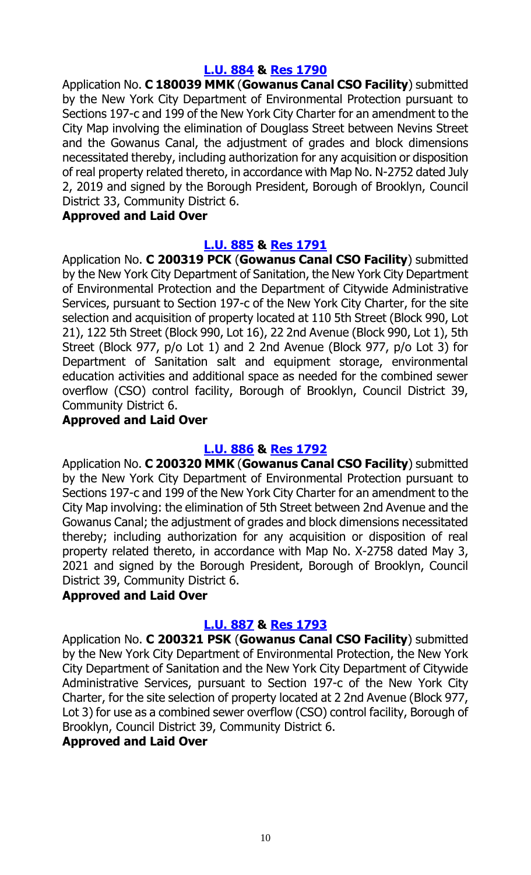#### **[L.U. 884](https://legistar.council.nyc.gov/LegislationDetail.aspx?ID=5161404&GUID=A53E2F65-EF5E-4278-A01C-BACD533E78B0&Options=&Search=) & Res [1790](https://legistar.council.nyc.gov/LegislationDetail.aspx?ID=5211680&GUID=14E62110-212B-4BD4-9417-2AC461458B46&Options=&Search=)**

Application No. **C 180039 MMK** (**Gowanus Canal CSO Facility**) submitted by the New York City Department of Environmental Protection pursuant to Sections 197-c and 199 of the New York City Charter for an amendment to the City Map involving the elimination of Douglass Street between Nevins Street and the Gowanus Canal, the adjustment of grades and block dimensions necessitated thereby, including authorization for any acquisition or disposition of real property related thereto, in accordance with Map No. N-2752 dated July 2, 2019 and signed by the Borough President, Borough of Brooklyn, Council District 33, Community District 6.

#### **Approved and Laid Over**

### **[L.U. 885](https://legistar.council.nyc.gov/LegislationDetail.aspx?ID=5161405&GUID=E0B6B559-3C54-4C4D-B32E-88DE0B6365D1&Options=&Search=) & Res [1791](https://legistar.council.nyc.gov/LegislationDetail.aspx?ID=5211681&GUID=CC995124-9887-4D6C-9020-116BC67F283F&Options=&Search=)**

Application No. **C 200319 PCK** (**Gowanus Canal CSO Facility**) submitted by the New York City Department of Sanitation, the New York City Department of Environmental Protection and the Department of Citywide Administrative Services, pursuant to Section 197-c of the New York City Charter, for the site selection and acquisition of property located at 110 5th Street (Block 990, Lot 21), 122 5th Street (Block 990, Lot 16), 22 2nd Avenue (Block 990, Lot 1), 5th Street (Block 977, p/o Lot 1) and 2 2nd Avenue (Block 977, p/o Lot 3) for Department of Sanitation salt and equipment storage, environmental education activities and additional space as needed for the combined sewer overflow (CSO) control facility, Borough of Brooklyn, Council District 39, Community District 6.

#### **Approved and Laid Over**

#### **[L.U. 886](https://legistar.council.nyc.gov/LegislationDetail.aspx?ID=5161406&GUID=72851EB4-5CEF-4C94-9F3E-D804DBBAC89F&Options=&Search=) & Res [1792](https://legistar.council.nyc.gov/LegislationDetail.aspx?ID=5211682&GUID=E9E9D5F1-75AC-4F7A-A5C2-47463D2B0BE9&Options=&Search=)**

Application No. **C 200320 MMK** (**Gowanus Canal CSO Facility**) submitted by the New York City Department of Environmental Protection pursuant to Sections 197-c and 199 of the New York City Charter for an amendment to the City Map involving: the elimination of 5th Street between 2nd Avenue and the Gowanus Canal; the adjustment of grades and block dimensions necessitated thereby; including authorization for any acquisition or disposition of real property related thereto, in accordance with Map No. X-2758 dated May 3, 2021 and signed by the Borough President, Borough of Brooklyn, Council District 39, Community District 6.

#### **Approved and Laid Over**

# **[L.U. 887](https://legistar.council.nyc.gov/LegislationDetail.aspx?ID=5161407&GUID=4631E36E-932A-47D4-9C32-1BA0026F1E96&Options=&Search=) & Res [1793](https://legistar.council.nyc.gov/LegislationDetail.aspx?ID=5211683&GUID=A34B3137-F3FE-4B8C-9617-46FCAE3193E7&Options=&Search=)**

Application No. **C 200321 PSK** (**Gowanus Canal CSO Facility**) submitted by the New York City Department of Environmental Protection, the New York City Department of Sanitation and the New York City Department of Citywide Administrative Services, pursuant to Section 197-c of the New York City Charter, for the site selection of property located at 2 2nd Avenue (Block 977, Lot 3) for use as a combined sewer overflow (CSO) control facility, Borough of Brooklyn, Council District 39, Community District 6.

#### **Approved and Laid Over**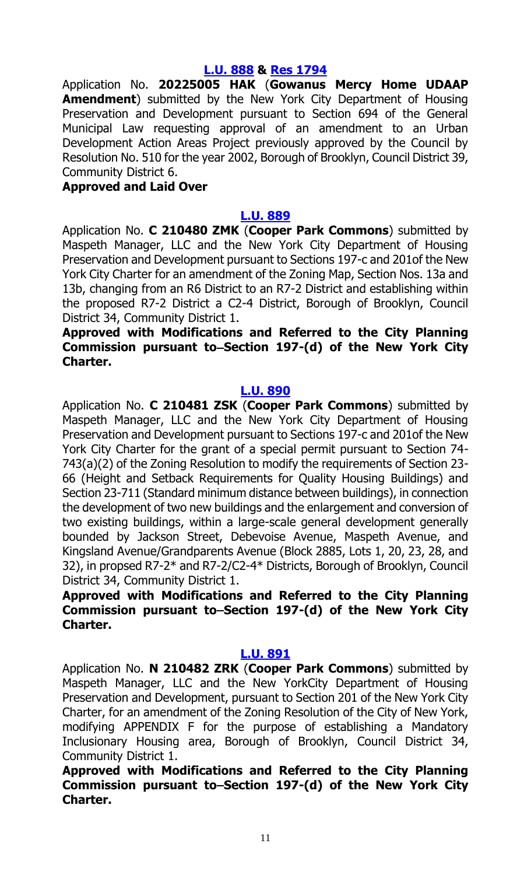#### **[L.U. 888](https://legistar.council.nyc.gov/LegislationDetail.aspx?ID=5161408&GUID=840907B2-54BC-4B4F-8DB2-031319A191E7&Options=&Search=) & Res [1794](https://legistar.council.nyc.gov/LegislationDetail.aspx?ID=5211684&GUID=E535D898-E759-481A-9932-8BAE86B0DFA0&Options=&Search=)**

Application No. **20225005 HAK** (**Gowanus Mercy Home UDAAP Amendment**) submitted by the New York City Department of Housing Preservation and Development pursuant to Section 694 of the General Municipal Law requesting approval of an amendment to an Urban Development Action Areas Project previously approved by the Council by Resolution No. 510 for the year 2002, Borough of Brooklyn, Council District 39, Community District 6.

#### **Approved and Laid Over**

#### **[L.U. 889](https://legistar.council.nyc.gov/LegislationDetail.aspx?ID=5161409&GUID=05F57BF2-A95E-4856-97BE-10DB0531A409&Options=&Search=)**

Application No. **C 210480 ZMK** (**Cooper Park Commons**) submitted by Maspeth Manager, LLC and the New York City Department of Housing Preservation and Development pursuant to Sections 197-c and 201of the New York City Charter for an amendment of the Zoning Map, Section Nos. 13a and 13b, changing from an R6 District to an R7-2 District and establishing within the proposed R7-2 District a C2-4 District, Borough of Brooklyn, Council District 34, Community District 1.

### **Approved with Modifications and Referred to the City Planning Commission pursuant to Section 197-(d) of the New York City Charter.**

#### **[L.U. 890](https://legistar.council.nyc.gov/LegislationDetail.aspx?ID=5161410&GUID=5CDD45E1-B305-42A5-8642-FE1EFCFD1970&Options=&Search=)**

Application No. **C 210481 ZSK** (**Cooper Park Commons**) submitted by Maspeth Manager, LLC and the New York City Department of Housing Preservation and Development pursuant to Sections 197-c and 201of the New York City Charter for the grant of a special permit pursuant to Section 74- 743(a)(2) of the Zoning Resolution to modify the requirements of Section 23- 66 (Height and Setback Requirements for Quality Housing Buildings) and Section 23-711 (Standard minimum distance between buildings), in connection the development of two new buildings and the enlargement and conversion of two existing buildings, within a large-scale general development generally bounded by Jackson Street, Debevoise Avenue, Maspeth Avenue, and Kingsland Avenue/Grandparents Avenue (Block 2885, Lots 1, 20, 23, 28, and 32), in propsed R7-2\* and R7-2/C2-4\* Districts, Borough of Brooklyn, Council District 34, Community District 1.

# **Approved with Modifications and Referred to the City Planning Commission pursuant to Section 197-(d) of the New York City Charter.**

#### **[L.U. 891](https://legistar.council.nyc.gov/LegislationDetail.aspx?ID=5161411&GUID=D6458EE8-C9E3-4D4E-A95A-1DD5677DF2D1&Options=&Search=)**

Application No. **N 210482 ZRK** (**Cooper Park Commons**) submitted by Maspeth Manager, LLC and the New YorkCity Department of Housing Preservation and Development, pursuant to Section 201 of the New York City Charter, for an amendment of the Zoning Resolution of the City of New York, modifying APPENDIX F for the purpose of establishing a Mandatory Inclusionary Housing area, Borough of Brooklyn, Council District 34, Community District 1.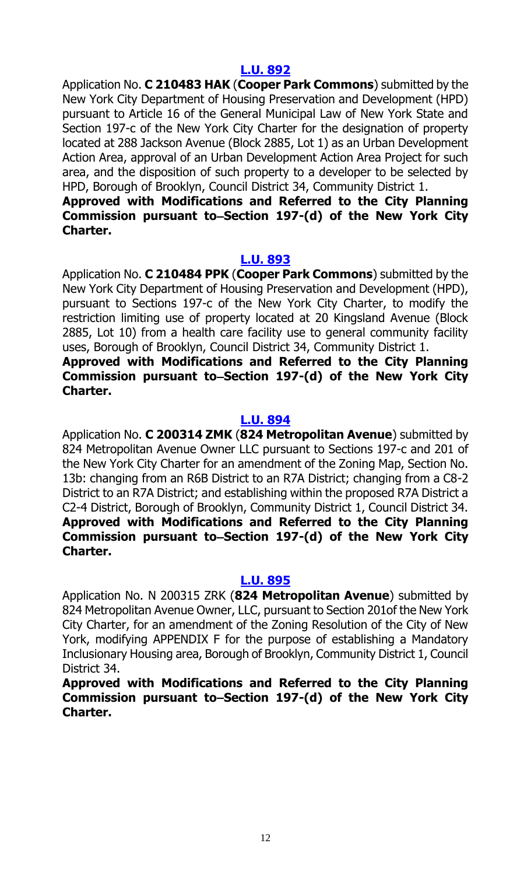Application No. **C 210483 HAK** (**Cooper Park Commons**) submitted by the New York City Department of Housing Preservation and Development (HPD) pursuant to Article 16 of the General Municipal Law of New York State and Section 197-c of the New York City Charter for the designation of property located at 288 Jackson Avenue (Block 2885, Lot 1) as an Urban Development Action Area, approval of an Urban Development Action Area Project for such area, and the disposition of such property to a developer to be selected by HPD, Borough of Brooklyn, Council District 34, Community District 1.

#### **Approved with Modifications and Referred to the City Planning Commission pursuant to Section 197-(d) of the New York City Charter.**

#### **[L.U. 893](https://legistar.council.nyc.gov/LegislationDetail.aspx?ID=5161413&GUID=1DCD7B07-5AF2-406F-B998-0D74290048F0&Options=&Search=)**

Application No. **C 210484 PPK** (**Cooper Park Commons**) submitted by the New York City Department of Housing Preservation and Development (HPD), pursuant to Sections 197-c of the New York City Charter, to modify the restriction limiting use of property located at 20 Kingsland Avenue (Block 2885, Lot 10) from a health care facility use to general community facility uses, Borough of Brooklyn, Council District 34, Community District 1.

**Approved with Modifications and Referred to the City Planning Commission pursuant to Section 197-(d) of the New York City Charter.**

#### **[L.U. 894](https://legistar.council.nyc.gov/LegislationDetail.aspx?ID=5190121&GUID=C495B88B-838E-41FE-B7BB-49AE8E290C88&Options=&Search=)**

Application No. **C 200314 ZMK** (**824 Metropolitan Avenue**) submitted by 824 Metropolitan Avenue Owner LLC pursuant to Sections 197-c and 201 of the New York City Charter for an amendment of the Zoning Map, Section No. 13b: changing from an R6B District to an R7A District; changing from a C8-2 District to an R7A District; and establishing within the proposed R7A District a C2-4 District, Borough of Brooklyn, Community District 1, Council District 34. **Approved with Modifications and Referred to the City Planning**  Commission pursuant to–Section 197-(d) of the New York City **Charter.**

#### **[L.U. 895](https://legistar.council.nyc.gov/LegislationDetail.aspx?ID=5190122&GUID=3D644CB4-97C2-412B-96A0-DF371529818A&Options=&Search=)**

Application No. N 200315 ZRK (**824 Metropolitan Avenue**) submitted by 824 Metropolitan Avenue Owner, LLC, pursuant to Section 201of the New York City Charter, for an amendment of the Zoning Resolution of the City of New York, modifying APPENDIX F for the purpose of establishing a Mandatory Inclusionary Housing area, Borough of Brooklyn, Community District 1, Council District 34.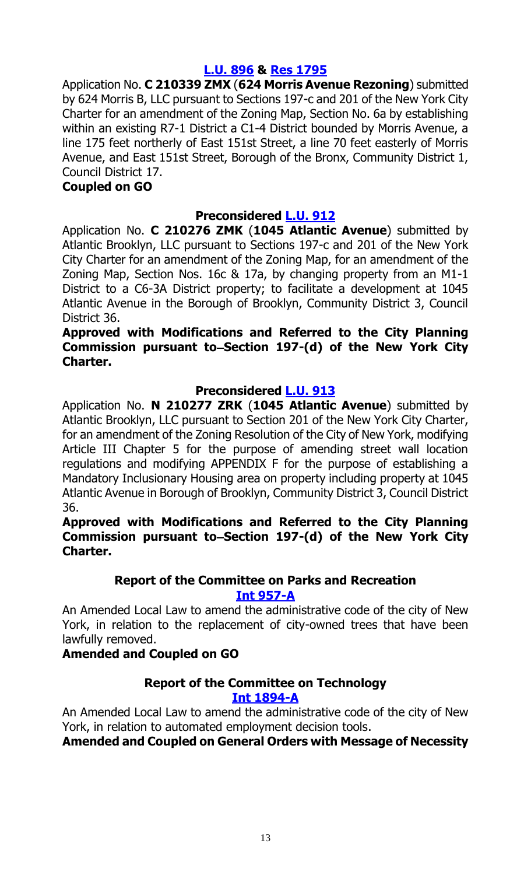# **[L.U. 896](https://legistar.council.nyc.gov/LegislationDetail.aspx?ID=5189227&GUID=201AA831-431B-4612-B631-6ADDE0ECEA9B&Options=&Search=) & Res [1795](https://legistar.council.nyc.gov/LegislationDetail.aspx?ID=5211679&GUID=2ADF5E7C-1F0B-4265-875E-E833040DC922&Options=&Search=)**

Application No. **C 210339 ZMX** (**624 Morris Avenue Rezoning**) submitted by 624 Morris B, LLC pursuant to Sections 197-c and 201 of the New York City Charter for an amendment of the Zoning Map, Section No. 6a by establishing within an existing R7-1 District a C1-4 District bounded by Morris Avenue, a line 175 feet northerly of East 151st Street, a line 70 feet easterly of Morris Avenue, and East 151st Street, Borough of the Bronx, Community District 1, Council District 17.

#### **Coupled on GO**

# **Preconsidered [L.U.](https://legistar.council.nyc.gov/LegislationDetail.aspx?ID=5194459&GUID=CAACD345-66AA-463E-97C8-9865985E3633&Options=&Search=) 912**

Application No. **C 210276 ZMK** (**1045 Atlantic Avenue**) submitted by Atlantic Brooklyn, LLC pursuant to Sections 197-c and 201 of the New York City Charter for an amendment of the Zoning Map, for an amendment of the Zoning Map, Section Nos. 16c & 17a, by changing property from an M1-1 District to a C6-3A District property; to facilitate a development at 1045 Atlantic Avenue in the Borough of Brooklyn, Community District 3, Council District 36.

#### **Approved with Modifications and Referred to the City Planning Commission pursuant to Section 197-(d) of the New York City Charter.**

#### **Preconsidered [L.U.](https://legistar.council.nyc.gov/LegislationDetail.aspx?ID=5194460&GUID=7015EE8C-5106-47C2-8492-6D004060195B&Options=&Search=) 913**

Application No. **N 210277 ZRK** (**1045 Atlantic Avenue**) submitted by Atlantic Brooklyn, LLC pursuant to Section 201 of the New York City Charter, for an amendment of the Zoning Resolution of the City of New York, modifying Article III Chapter 5 for the purpose of amending street wall location regulations and modifying APPENDIX F for the purpose of establishing a Mandatory Inclusionary Housing area on property including property at 1045 Atlantic Avenue in Borough of Brooklyn, Community District 3, Council District 36.

#### **Approved with Modifications and Referred to the City Planning**  Commission pursuant to–Section 197-(d) of the New York City **Charter.**

# **Report of the Committee on Parks and Recreation Int [957-A](https://legistar.council.nyc.gov/LegislationDetail.aspx?ID=3521892&GUID=8CAC0469-BB41-4223-A7BB-009F7C6DAFF8&Options=&Search=)**

An Amended Local Law to amend the administrative code of the city of New York, in relation to the replacement of city-owned trees that have been lawfully removed.

# **Amended and Coupled on GO**

#### **Report of the Committee on Technology Int [1894-A](https://legistar.council.nyc.gov/LegislationDetail.aspx?ID=4344524&GUID=B051915D-A9AC-451E-81F8-6596032FA3F9&Options=&Search=)**

An Amended Local Law to amend the administrative code of the city of New York, in relation to automated employment decision tools.

#### **Amended and Coupled on General Orders with Message of Necessity**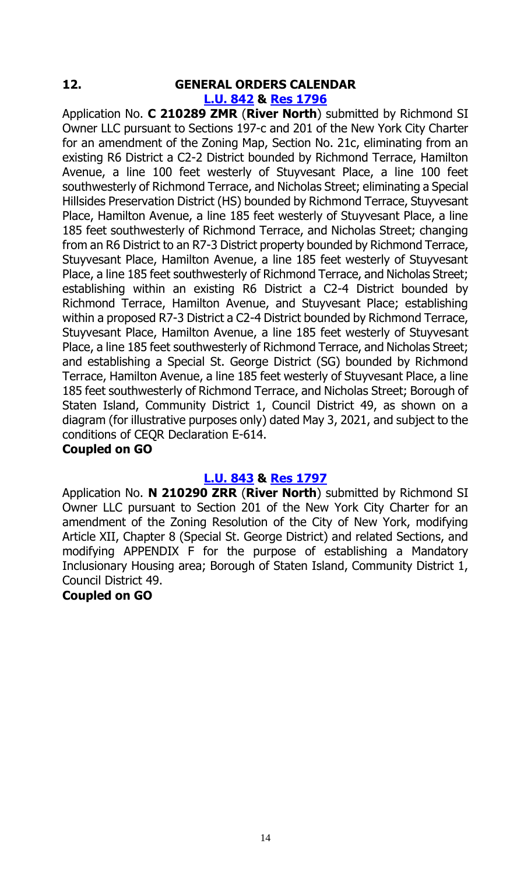# **12. GENERAL ORDERS CALENDAR**

# **[L.U.](https://legistar.council.nyc.gov/LegislationDetail.aspx?ID=5130154&GUID=F5F6D834-0CC3-4404-845B-AAD6C724A2FE&Options=&Search=) 842 & Res [1796](https://legistar.council.nyc.gov/LegislationDetail.aspx?ID=5189269&GUID=5476C233-3FB6-4F69-B363-9689C1B6A03B&Options=&Search=)**

Application No. **C 210289 ZMR** (**River North**) submitted by Richmond SI Owner LLC pursuant to Sections 197-c and 201 of the New York City Charter for an amendment of the Zoning Map, Section No. 21c, eliminating from an existing R6 District a C2-2 District bounded by Richmond Terrace, Hamilton Avenue, a line 100 feet westerly of Stuyvesant Place, a line 100 feet southwesterly of Richmond Terrace, and Nicholas Street; eliminating a Special Hillsides Preservation District (HS) bounded by Richmond Terrace, Stuyvesant Place, Hamilton Avenue, a line 185 feet westerly of Stuyvesant Place, a line 185 feet southwesterly of Richmond Terrace, and Nicholas Street; changing from an R6 District to an R7-3 District property bounded by Richmond Terrace, Stuyvesant Place, Hamilton Avenue, a line 185 feet westerly of Stuyvesant Place, a line 185 feet southwesterly of Richmond Terrace, and Nicholas Street; establishing within an existing R6 District a C2-4 District bounded by Richmond Terrace, Hamilton Avenue, and Stuyvesant Place; establishing within a proposed R7-3 District a C2-4 District bounded by Richmond Terrace, Stuyvesant Place, Hamilton Avenue, a line 185 feet westerly of Stuyvesant Place, a line 185 feet southwesterly of Richmond Terrace, and Nicholas Street; and establishing a Special St. George District (SG) bounded by Richmond Terrace, Hamilton Avenue, a line 185 feet westerly of Stuyvesant Place, a line 185 feet southwesterly of Richmond Terrace, and Nicholas Street; Borough of Staten Island, Community District 1, Council District 49, as shown on a diagram (for illustrative purposes only) dated May 3, 2021, and subject to the conditions of CEQR Declaration E-614.

#### **Coupled on GO**

#### **[L.U. 843](https://legistar.council.nyc.gov/LegislationDetail.aspx?ID=5130188&GUID=8B73B480-C3BC-4257-9ABA-32E047853162&Options=&Search=) & Res [1797](https://legistar.council.nyc.gov/LegislationDetail.aspx?ID=5189270&GUID=D926C3A4-E7F5-46EC-A75F-BCD266C65B43&Options=&Search=)**

Application No. **N 210290 ZRR** (**River North**) submitted by Richmond SI Owner LLC pursuant to Section 201 of the New York City Charter for an amendment of the Zoning Resolution of the City of New York, modifying Article XII, Chapter 8 (Special St. George District) and related Sections, and modifying APPENDIX F for the purpose of establishing a Mandatory Inclusionary Housing area; Borough of Staten Island, Community District 1, Council District 49.

#### **Coupled on GO**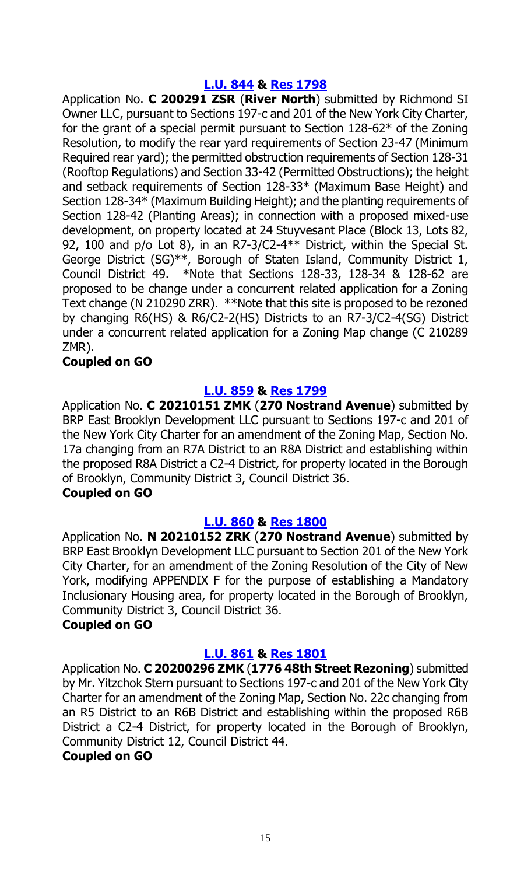#### **[L.U. 844](https://legistar.council.nyc.gov/LegislationDetail.aspx?ID=5130189&GUID=F3C2BD53-080B-48FE-9CBF-CABEC6B395B3&Options=&Search=) & Res [1798](https://legistar.council.nyc.gov/LegislationDetail.aspx?ID=5189271&GUID=5772CAFB-DE9C-406F-937B-64D6AA3C35DD&Options=&Search=)**

Application No. **C 200291 ZSR** (**River North**) submitted by Richmond SI Owner LLC, pursuant to Sections 197-c and 201 of the New York City Charter, for the grant of a special permit pursuant to Section 128-62\* of the Zoning Resolution, to modify the rear yard requirements of Section 23-47 (Minimum Required rear yard); the permitted obstruction requirements of Section 128-31 (Rooftop Regulations) and Section 33-42 (Permitted Obstructions); the height and setback requirements of Section 128-33\* (Maximum Base Height) and Section 128-34\* (Maximum Building Height); and the planting requirements of Section 128-42 (Planting Areas); in connection with a proposed mixed-use development, on property located at 24 Stuyvesant Place (Block 13, Lots 82, 92, 100 and p/o Lot 8), in an R7-3/C2-4\*\* District, within the Special St. George District (SG)\*\*, Borough of Staten Island, Community District 1, Council District 49. \*Note that Sections 128-33, 128-34 & 128-62 are proposed to be change under a concurrent related application for a Zoning Text change (N 210290 ZRR). \*\*Note that this site is proposed to be rezoned by changing R6(HS) & R6/C2-2(HS) Districts to an R7-3/C2-4(SG) District under a concurrent related application for a Zoning Map change (C 210289 ZMR).

#### **Coupled on GO**

### **[L.U. 859](https://legistar.council.nyc.gov/LegislationDetail.aspx?ID=5146261&GUID=4063C210-C38B-4A90-84A9-B37C68094785&Options=&Search=) & Res [1799](https://legistar.council.nyc.gov/LegislationDetail.aspx?ID=5190264&GUID=B5A8F0E7-EC0A-4792-A19A-E8A790B82599&Options=&Search=)**

Application No. **C 20210151 ZMK** (**270 Nostrand Avenue**) submitted by BRP East Brooklyn Development LLC pursuant to Sections 197-c and 201 of the New York City Charter for an amendment of the Zoning Map, Section No. 17a changing from an R7A District to an R8A District and establishing within the proposed R8A District a C2-4 District, for property located in the Borough of Brooklyn, Community District 3, Council District 36.

#### **Coupled on GO**

#### **[L.U. 860](https://legistar.council.nyc.gov/LegislationDetail.aspx?ID=5146262&GUID=0E466FDC-E677-4055-810B-6962B0CF887C&Options=&Search=) & Res [1800](https://legistar.council.nyc.gov/LegislationDetail.aspx?ID=5190265&GUID=77C5CF36-0C8A-4A33-9394-41D062068281&Options=&Search=)**

Application No. **N 20210152 ZRK** (**270 Nostrand Avenue**) submitted by BRP East Brooklyn Development LLC pursuant to Section 201 of the New York City Charter, for an amendment of the Zoning Resolution of the City of New York, modifying APPENDIX F for the purpose of establishing a Mandatory Inclusionary Housing area, for property located in the Borough of Brooklyn, Community District 3, Council District 36.

#### **Coupled on GO**

#### **[L.U. 861](https://legistar.council.nyc.gov/LegislationDetail.aspx?ID=5146263&GUID=3B03C540-AA6B-48F3-BC51-BEE4A7BBB198&Options=&Search=) & Res [1801](https://legistar.council.nyc.gov/LegislationDetail.aspx?ID=5190266&GUID=22516169-6844-4F84-96D8-6805A5BAE0A1&Options=&Search=)**

Application No. **C 20200296 ZMK** (**1776 48th Street Rezoning**) submitted by Mr. Yitzchok Stern pursuant to Sections 197-c and 201 of the New York City Charter for an amendment of the Zoning Map, Section No. 22c changing from an R5 District to an R6B District and establishing within the proposed R6B District a C2-4 District, for property located in the Borough of Brooklyn, Community District 12, Council District 44.

#### **Coupled on GO**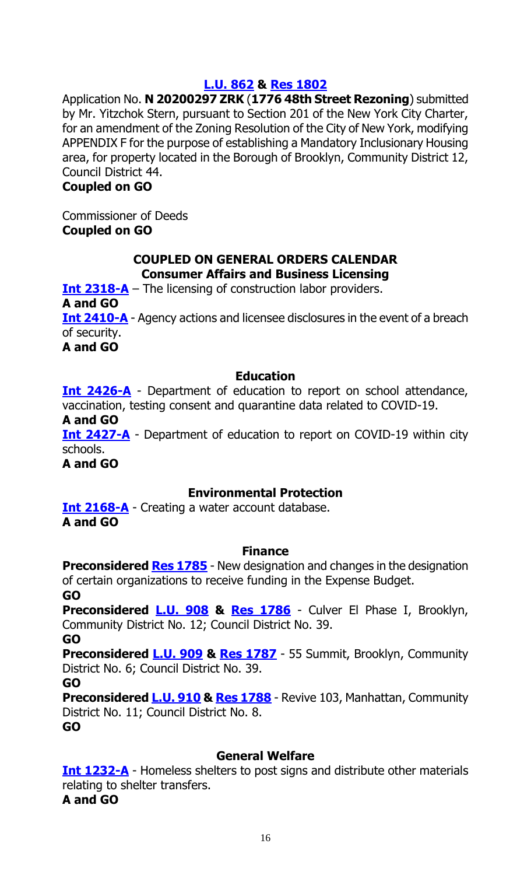#### **[L.U. 862](https://legistar.council.nyc.gov/LegislationDetail.aspx?ID=5146264&GUID=143F73C9-9C0C-4906-84D0-5FC652E872D9&Options=&Search=) & Res [1802](https://legistar.council.nyc.gov/LegislationDetail.aspx?ID=5190267&GUID=42BA3A27-B447-452C-85CC-75BF71432C3A&Options=&Search=)**

Application No. **N 20200297 ZRK** (**1776 48th Street Rezoning**) submitted by Mr. Yitzchok Stern, pursuant to Section 201 of the New York City Charter, for an amendment of the Zoning Resolution of the City of New York, modifying APPENDIX F for the purpose of establishing a Mandatory Inclusionary Housing area, for property located in the Borough of Brooklyn, Community District 12, Council District 44.

#### **Coupled on GO**

Commissioner of Deeds **Coupled on GO**

#### **COUPLED ON GENERAL ORDERS CALENDAR Consumer Affairs and Business Licensing**

**[Int 2318-A](https://legistar.council.nyc.gov/LegislationDetail.aspx?ID=4966517&GUID=23CA198A-0612-439D-AB54-14065535D735&Options=&Search=)** – The licensing of construction labor providers.

**A and GO**

**[Int 2410-A](https://legistar.council.nyc.gov/LegislationDetail.aspx?ID=5161482&GUID=1636F161-CC74-49DD-959E-BF17C719FB53&Options=&Search=)** - Agency actions and licensee disclosures in the event of a breach of security.

**A and GO**

### **Education**

**[Int 2426-A](https://legistar.council.nyc.gov/LegislationDetail.aspx?ID=5159257&GUID=FE54F6F4-5A23-4816-8E4D-FC037306BC80&Options=&Search=)** - Department of education to report on school attendance, vaccination, testing consent and quarantine data related to COVID-19.

**A and GO**

**[Int 2427-A](https://legistar.council.nyc.gov/LegislationDetail.aspx?ID=5159259&GUID=DB44C3EA-5C9E-4C06-A75E-2F0EB1B15ECA&Options=&Search=)** - Department of education to report on COVID-19 within city schools.

**A and GO**

# **Environmental Protection**

**[Int 2168-A](https://legistar.council.nyc.gov/LegislationDetail.aspx?ID=4729325&GUID=12153BAE-002E-4297-A7E7-ECC32162A143&Options=&Search=)** - Creating a water account database. **A and GO**

#### **Finance**

**Preconsidered Res [1785](https://legistar.council.nyc.gov/LegislationDetail.aspx?ID=5209611&GUID=15DDD229-C0D5-435B-9B78-74DD056E207A&Options=&Search=)** - New designation and changes in the designation of certain organizations to receive funding in the Expense Budget. **GO**

**Preconsidered [L.U. 908](https://legistar.council.nyc.gov/LegislationDetail.aspx?ID=5209720&GUID=B716172C-FA08-453F-8086-85AD24E3E23B&Options=&Search=) & [Res 1786](https://legistar.council.nyc.gov/LegislationDetail.aspx?ID=5211675&GUID=45F3F5D6-E1AE-433F-BC8F-324145B04324&Options=&Search=)** - Culver El Phase I, Brooklyn, Community District No. 12; Council District No. 39.

**GO**

**Preconsidered [L.U.](https://legistar.council.nyc.gov/LegislationDetail.aspx?ID=5209721&GUID=5857BD47-1096-4C5C-ADF5-617144D6D35E&Options=&Search=) 909 & [Res 1787](https://legistar.council.nyc.gov/LegislationDetail.aspx?ID=5211676&GUID=FE763607-3CEB-4117-91B1-95B86945C1BB&Options=&Search=)** - 55 Summit, Brooklyn, Community District No. 6; Council District No. 39.

**GO**

**Preconsidered [L.U.](https://legistar.council.nyc.gov/LegislationDetail.aspx?ID=5209718&GUID=78B26214-7D29-4131-9624-6B502B110EB9&Options=&Search=) 910 & [Res 1788](https://legistar.council.nyc.gov/LegislationDetail.aspx?ID=5211678&GUID=EF7A0C6B-8356-49A2-9ABC-8CB87B40504B&Options=&Search=)** - Revive 103, Manhattan, Community District No. 11; Council District No. 8.

**GO**

# **General Welfare**

**Int [1232-A](https://legistar.council.nyc.gov/LegislationDetail.aspx?ID=3754265&GUID=07813CED-5A55-45CA-9E4D-0B64EEEF9072&Options=&Search=)** - Homeless shelters to post signs and distribute other materials relating to shelter transfers. **A and GO**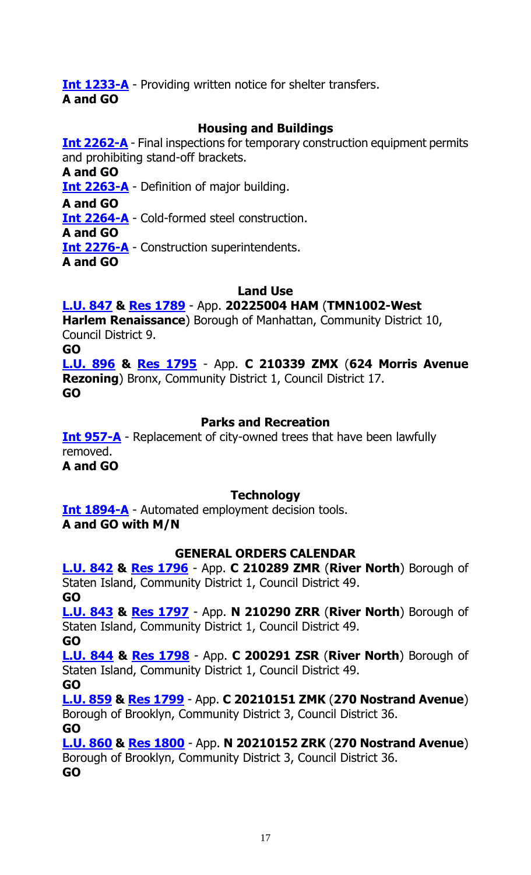**Int [1233-A](https://legistar.council.nyc.gov/LegislationDetail.aspx?ID=3754263&GUID=F5390D9F-E95E-4FDC-BA02-5AB91E1E72F4&Options=&Search=)** - Providing written notice for shelter transfers. **A and GO**

# **Housing and Buildings**

**Int [2262-A](https://legistar.council.nyc.gov/LegislationDetail.aspx?ID=4920294&GUID=E0C17734-0D62-4A70-8192-01A977357D3D&Options=&Search=)** - Final inspections for temporary construction equipment permits and prohibiting stand-off brackets.

**A and GO**

**Int [2263-A](https://legistar.council.nyc.gov/LegislationDetail.aspx?ID=4920295&GUID=F0E784E6-BF2B-4BFE-AF9A-9930BE4FF816&Options=&Search=)** - Definition of major building.

**A and GO**

**Int [2264-A](https://legistar.council.nyc.gov/LegislationDetail.aspx?ID=4920297&GUID=2C3C87BE-D8BB-487D-8640-EE31C82BB3FF&Options=&Search=)** - Cold-formed steel construction.

**A and GO**

**Int [2276-A](https://legistar.council.nyc.gov/LegislationDetail.aspx?ID=4920296&GUID=4D54DF22-BF79-4287-A05E-94796B597287&Options=&Search=)** - Construction superintendents.

**A and GO**

# **Land Use**

# **[L.U.](https://legistar.council.nyc.gov/LegislationDetail.aspx?ID=5146244&GUID=810BEA44-AB45-4341-B9AB-28458D30D17C&Options=&Search=) 847 & Res [1789](https://legistar.council.nyc.gov/LegislationDetail.aspx?ID=5211677&GUID=6E4615BD-9A7F-42DE-BFAF-04ADA372B064&Options=&Search=)** - App. **20225004 HAM** (**TMN1002-West**

**Harlem Renaissance**) Borough of Manhattan, Community District 10, Council District 9.

**GO**

**[L.U. 896](https://legistar.council.nyc.gov/LegislationDetail.aspx?ID=5189227&GUID=201AA831-431B-4612-B631-6ADDE0ECEA9B&Options=&Search=) & Res [1795](https://legistar.council.nyc.gov/LegislationDetail.aspx?ID=5211679&GUID=2ADF5E7C-1F0B-4265-875E-E833040DC922&Options=&Search=)** - App. **C 210339 ZMX** (**624 Morris Avenue Rezoning**) Bronx, Community District 1, Council District 17. **GO**

# **Parks and Recreation**

**[Int 957-A](https://legistar.council.nyc.gov/LegislationDetail.aspx?ID=3521892&GUID=8CAC0469-BB41-4223-A7BB-009F7C6DAFF8&Options=&Search=)** - Replacement of city-owned trees that have been lawfully removed. **A and GO**

# **Technology**

**Int [1894-A](https://legistar.council.nyc.gov/LegislationDetail.aspx?ID=4344524&GUID=B051915D-A9AC-451E-81F8-6596032FA3F9&Options=&Search=)** - Automated employment decision tools. **A and GO with M/N**

# **GENERAL ORDERS CALENDAR**

**[L.U.](https://legistar.council.nyc.gov/LegislationDetail.aspx?ID=5130154&GUID=F5F6D834-0CC3-4404-845B-AAD6C724A2FE&Options=&Search=) 842 & [Res 1796](https://legistar.council.nyc.gov/LegislationDetail.aspx?ID=5189269&GUID=5476C233-3FB6-4F69-B363-9689C1B6A03B&Options=&Search=)** - App. **C 210289 ZMR** (**River North**) Borough of Staten Island, Community District 1, Council District 49. **GO**

**[L.U. 843](https://legistar.council.nyc.gov/LegislationDetail.aspx?ID=5130188&GUID=8B73B480-C3BC-4257-9ABA-32E047853162&Options=&Search=) & Res [1797](https://legistar.council.nyc.gov/LegislationDetail.aspx?ID=5189270&GUID=D926C3A4-E7F5-46EC-A75F-BCD266C65B43&Options=&Search=)** - App. **N 210290 ZRR** (**River North**) Borough of Staten Island, Community District 1, Council District 49.

**GO**

**[L.U. 844](https://legistar.council.nyc.gov/LegislationDetail.aspx?ID=5130189&GUID=F3C2BD53-080B-48FE-9CBF-CABEC6B395B3&Options=&Search=) & Res [1798](https://legistar.council.nyc.gov/LegislationDetail.aspx?ID=5189271&GUID=5772CAFB-DE9C-406F-937B-64D6AA3C35DD&Options=&Search=)** - App. **C 200291 ZSR** (**River North**) Borough of Staten Island, Community District 1, Council District 49.

**GO**

**[L.U. 859](https://legistar.council.nyc.gov/LegislationDetail.aspx?ID=5146261&GUID=4063C210-C38B-4A90-84A9-B37C68094785&Options=&Search=) & Res [1799](https://legistar.council.nyc.gov/LegislationDetail.aspx?ID=5190264&GUID=B5A8F0E7-EC0A-4792-A19A-E8A790B82599&Options=&Search=)** - App. **C 20210151 ZMK** (**270 Nostrand Avenue**) Borough of Brooklyn, Community District 3, Council District 36. **GO**

**[L.U. 860](https://legistar.council.nyc.gov/LegislationDetail.aspx?ID=5146262&GUID=0E466FDC-E677-4055-810B-6962B0CF887C&Options=&Search=) & Res [1800](https://legistar.council.nyc.gov/LegislationDetail.aspx?ID=5190265&GUID=77C5CF36-0C8A-4A33-9394-41D062068281&Options=&Search=)** - App. **N 20210152 ZRK** (**270 Nostrand Avenue**) Borough of Brooklyn, Community District 3, Council District 36. **GO**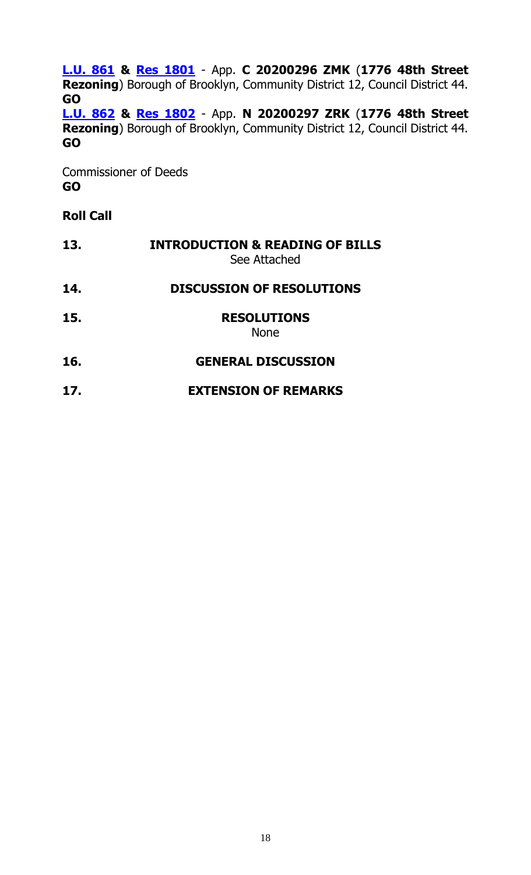**[L.U. 861](https://legistar.council.nyc.gov/LegislationDetail.aspx?ID=5146263&GUID=3B03C540-AA6B-48F3-BC51-BEE4A7BBB198&Options=&Search=) & Res [1801](https://legistar.council.nyc.gov/LegislationDetail.aspx?ID=5190266&GUID=22516169-6844-4F84-96D8-6805A5BAE0A1&Options=&Search=)** - App. **C 20200296 ZMK** (**1776 48th Street Rezoning**) Borough of Brooklyn, Community District 12, Council District 44. **GO**

**[L.U. 862](https://legistar.council.nyc.gov/LegislationDetail.aspx?ID=5146264&GUID=143F73C9-9C0C-4906-84D0-5FC652E872D9&Options=&Search=) & Res [1802](https://legistar.council.nyc.gov/LegislationDetail.aspx?ID=5190267&GUID=42BA3A27-B447-452C-85CC-75BF71432C3A&Options=&Search=)** - App. **N 20200297 ZRK** (**1776 48th Street Rezoning**) Borough of Brooklyn, Community District 12, Council District 44. **GO**

Commissioner of Deeds **GO**

# **Roll Call**

| 13. | <b>INTRODUCTION &amp; READING OF BILLS</b><br>See Attached |
|-----|------------------------------------------------------------|
| 14. | <b>DISCUSSION OF RESOLUTIONS</b>                           |
| 15. | <b>RESOLUTIONS</b><br><b>None</b>                          |
| 16. | <b>GENERAL DISCUSSION</b>                                  |
| 17. | <b>EXTENSION OF REMARKS</b>                                |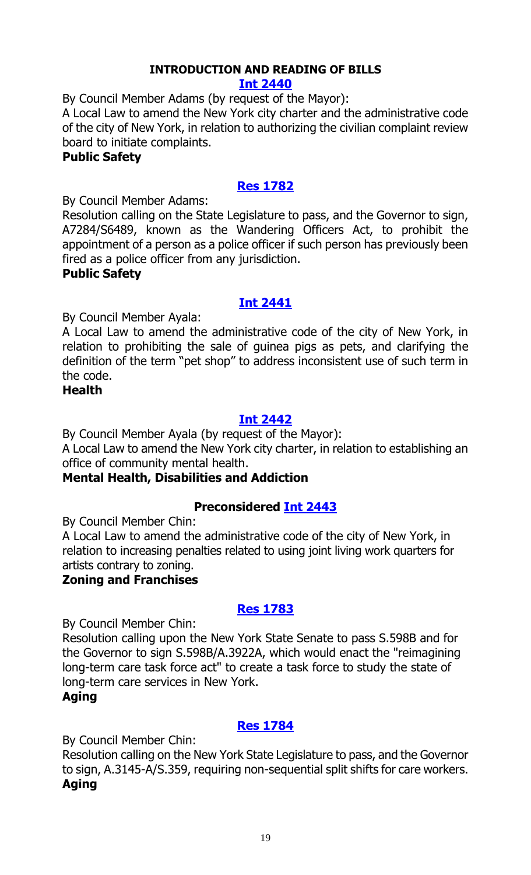# **INTRODUCTION AND READING OF BILLS**

#### **[Int 2440](https://legistar.council.nyc.gov/LegislationDetail.aspx?ID=5205437&GUID=9C384197-992F-4D38-9581-F3A56E206546&Options=ID|&Search=)**

By Council Member Adams (by request of the Mayor):

A Local Law to amend the New York city charter and the administrative code of the city of New York, in relation to authorizing the civilian complaint review board to initiate complaints.

#### **Public Safety**

# **[Res 1782](https://legistar.council.nyc.gov/LegislationDetail.aspx?ID=5210939&GUID=1D214839-119D-449F-BDE4-744E8BF84AB9&Options=ID|&Search=)**

By Council Member Adams:

Resolution calling on the State Legislature to pass, and the Governor to sign, A7284/S6489, known as the Wandering Officers Act, to prohibit the appointment of a person as a police officer if such person has previously been fired as a police officer from any jurisdiction.

#### **Public Safety**

# **[Int 2441](https://legistar.council.nyc.gov/LegislationDetail.aspx?ID=5210940&GUID=AC2C11C9-B177-4B53-B971-F23D2DAB659B&Options=ID|&Search=)**

By Council Member Ayala:

A Local Law to amend the administrative code of the city of New York, in relation to prohibiting the sale of guinea pigs as pets, and clarifying the definition of the term "pet shop" to address inconsistent use of such term in the code.

### **Health**

# **[Int 2442](https://legistar.council.nyc.gov/LegislationDetail.aspx?ID=5210941&GUID=0D00D653-90C5-430A-A738-EBCE7E0BF4AA&Options=ID|&Search=)**

By Council Member Ayala (by request of the Mayor):

A Local Law to amend the New York city charter, in relation to establishing an office of community mental health.

# **Mental Health, Disabilities and Addiction**

# **Preconsidered [Int 2443](https://legistar.council.nyc.gov/LegislationDetail.aspx?ID=5208872&GUID=605C7ED2-A961-462C-AF02-A94E70FB28CD&Options=ID|&Search=)**

By Council Member Chin:

A Local Law to amend the administrative code of the city of New York, in relation to increasing penalties related to using joint living work quarters for artists contrary to zoning.

# **Zoning and Franchises**

# **[Res 1783](https://legistar.council.nyc.gov/LegislationDetail.aspx?ID=5201667&GUID=E080DC60-C989-4BE6-8B26-96CC9C4063C1&Options=ID|&Search=)**

By Council Member Chin:

Resolution calling upon the New York State Senate to pass S.598B and for the Governor to sign S.598B/A.3922A, which would enact the "reimagining long-term care task force act" to create a task force to study the state of long-term care services in New York.

# **Aging**

# **[Res 1784](https://legistar.council.nyc.gov/LegislationDetail.aspx?ID=5201673&GUID=14BFD5C9-4A40-4642-A130-B2316C3B8066&Options=ID|&Search=)**

By Council Member Chin:

Resolution calling on the New York State Legislature to pass, and the Governor to sign, A.3145-A/S.359, requiring non-sequential split shifts for care workers. **Aging**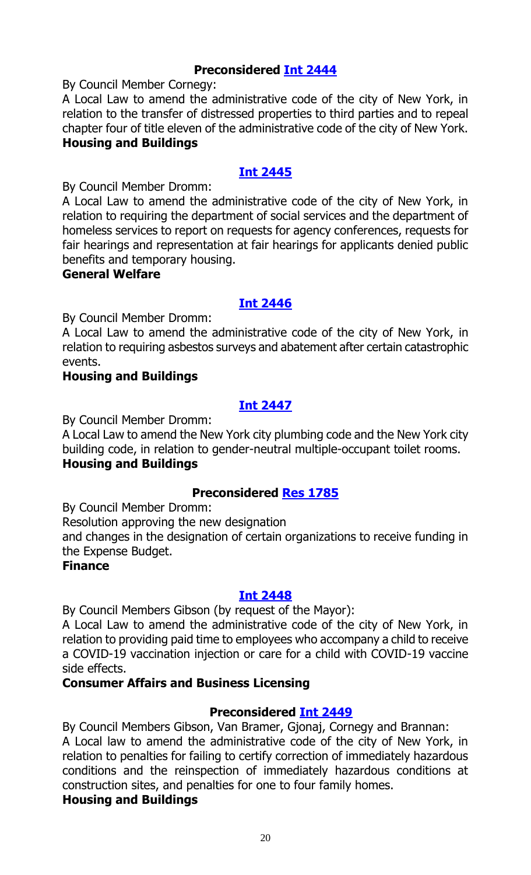# **Preconsidered [Int 2444](https://legistar.council.nyc.gov/LegislationDetail.aspx?ID=5202016&GUID=6C99F93A-1CAE-460E-97D5-B68887F08795&Options=ID|&Search=)**

By Council Member Cornegy:

A Local Law to amend the administrative code of the city of New York, in relation to the transfer of distressed properties to third parties and to repeal chapter four of title eleven of the administrative code of the city of New York. **Housing and Buildings**

# **[Int 2445](https://legistar.council.nyc.gov/LegislationDetail.aspx?ID=5210937&GUID=3C0DC0FA-025B-4144-82F2-7F786A68C2DB&Options=ID|&Search=)**

By Council Member Dromm:

A Local Law to amend the administrative code of the city of New York, in relation to requiring the department of social services and the department of homeless services to report on requests for agency conferences, requests for fair hearings and representation at fair hearings for applicants denied public benefits and temporary housing.

#### **General Welfare**

### **[Int 2446](https://legistar.council.nyc.gov/LegislationDetail.aspx?ID=5210938&GUID=0B0AD0E9-629F-4882-AB7D-7A648A6A12D1&Options=ID|&Search=)**

By Council Member Dromm:

A Local Law to amend the administrative code of the city of New York, in relation to requiring asbestos surveys and abatement after certain catastrophic events.

#### **Housing and Buildings**

# **[Int 2447](https://legistar.council.nyc.gov/LegislationDetail.aspx?ID=5210936&GUID=EA60A9CC-3525-4426-A515-A05D131C8AF8&Options=ID|&Search=)**

By Council Member Dromm:

A Local Law to amend the New York city plumbing code and the New York city building code, in relation to gender-neutral multiple-occupant toilet rooms. **Housing and Buildings**

# **Preconsidered [Res 1785](https://legistar.council.nyc.gov/LegislationDetail.aspx?ID=5209611&GUID=15DDD229-C0D5-435B-9B78-74DD056E207A&Options=ID|&Search=)**

By Council Member Dromm:

Resolution approving the new designation

and changes in the designation of certain organizations to receive funding in the Expense Budget.

#### **Finance**

#### **[Int 2448](https://legistar.council.nyc.gov/LegislationDetail.aspx?ID=5209882&GUID=760C4EFA-B5FD-4256-B842-4B821A3C221C&Options=ID|&Search=)**

By Council Members Gibson (by request of the Mayor):

A Local Law to amend the administrative code of the city of New York, in relation to providing paid time to employees who accompany a child to receive a COVID-19 vaccination injection or care for a child with COVID-19 vaccine side effects.

#### **Consumer Affairs and Business Licensing**

# **Preconsidered [Int 2449](https://legistar.council.nyc.gov/LegislationDetail.aspx?ID=5208818&GUID=547A2F40-F920-4768-A59D-A37EBE07C9A7&Options=ID|&Search=)**

By Council Members Gibson, Van Bramer, Gjonaj, Cornegy and Brannan: A Local law to amend the administrative code of the city of New York, in relation to penalties for failing to certify correction of immediately hazardous conditions and the reinspection of immediately hazardous conditions at construction sites, and penalties for one to four family homes.

# **Housing and Buildings**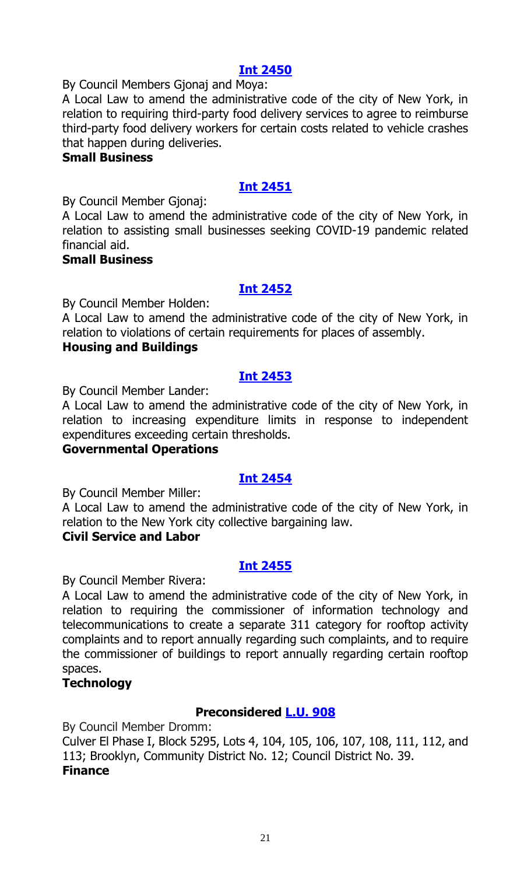#### **[Int 2450](https://legistar.council.nyc.gov/LegislationDetail.aspx?ID=5210976&GUID=8AA8B922-E389-4434-9BD8-50D30EC2F506&Options=ID|&Search=)**

By Council Members Gjonaj and Moya:

A Local Law to amend the administrative code of the city of New York, in relation to requiring third-party food delivery services to agree to reimburse third-party food delivery workers for certain costs related to vehicle crashes that happen during deliveries.

#### **Small Business**

# **[Int 2451](https://legistar.council.nyc.gov/LegislationDetail.aspx?ID=5210978&GUID=03871218-08FC-4E7C-BDF8-75A4B123D9A7&Options=ID|&Search=)**

By Council Member Gjonaj:

A Local Law to amend the administrative code of the city of New York, in relation to assisting small businesses seeking COVID-19 pandemic related financial aid.

#### **Small Business**

#### **[Int 2452](https://legistar.council.nyc.gov/LegislationDetail.aspx?ID=5210975&GUID=818A394D-1452-472E-9CF4-72EE365114D2&Options=ID|&Search=)**

By Council Member Holden:

A Local Law to amend the administrative code of the city of New York, in relation to violations of certain requirements for places of assembly.

#### **Housing and Buildings**

### **[Int 2453](https://legistar.council.nyc.gov/LegislationDetail.aspx?ID=5203587&GUID=DF220493-C2B7-42D1-BC48-1094859CCFF1&Options=ID|&Search=)**

By Council Member Lander:

A Local Law to amend the administrative code of the city of New York, in relation to increasing expenditure limits in response to independent expenditures exceeding certain thresholds.

#### **Governmental Operations**

# **[Int 2454](https://legistar.council.nyc.gov/LegislationDetail.aspx?ID=5210977&GUID=8FD1A632-9738-47F3-B866-A29943C40138&Options=ID|&Search=)**

By Council Member Miller:

A Local Law to amend the administrative code of the city of New York, in relation to the New York city collective bargaining law.

#### **Civil Service and Labor**

#### **[Int 2455](https://legistar.council.nyc.gov/LegislationDetail.aspx?ID=5210974&GUID=CC52AA90-9F01-425E-AF44-21C10338AFEE&Options=ID|&Search=)**

By Council Member Rivera:

A Local Law to amend the administrative code of the city of New York, in relation to requiring the commissioner of information technology and telecommunications to create a separate 311 category for rooftop activity complaints and to report annually regarding such complaints, and to require the commissioner of buildings to report annually regarding certain rooftop spaces.

#### **Technology**

# **Preconsidered [L.U. 908](https://legistar.council.nyc.gov/LegislationDetail.aspx?ID=5209720&GUID=B716172C-FA08-453F-8086-85AD24E3E23B&Options=ID|&Search=)**

By Council Member Dromm:

Culver El Phase I, Block 5295, Lots 4, 104, 105, 106, 107, 108, 111, 112, and 113; Brooklyn, Community District No. 12; Council District No. 39. **Finance**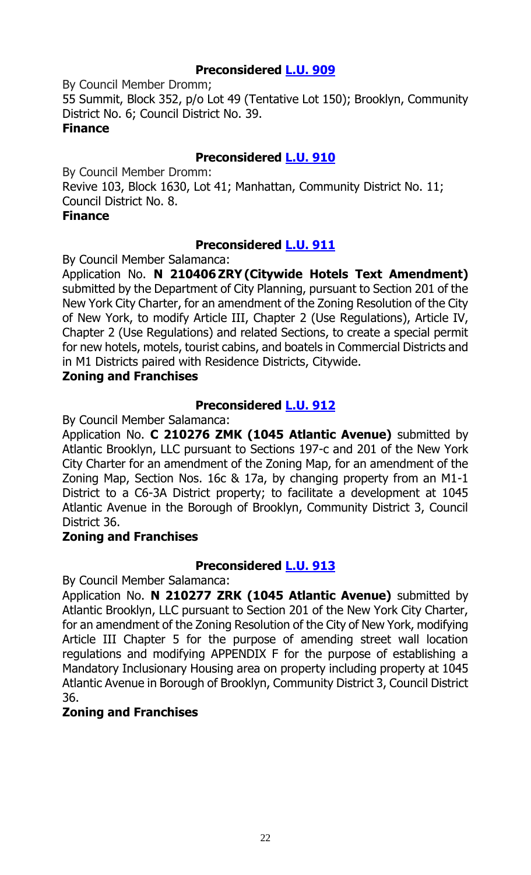# **Preconsidered [L.U. 909](https://legistar.council.nyc.gov/LegislationDetail.aspx?ID=5209721&GUID=5857BD47-1096-4C5C-ADF5-617144D6D35E&Options=ID|&Search=)**

By Council Member Dromm; 55 Summit, Block 352, p/o Lot 49 (Tentative Lot 150); Brooklyn, Community District No. 6; Council District No. 39. **Finance**

# **Preconsidered [L.U. 910](https://legistar.council.nyc.gov/LegislationDetail.aspx?ID=5209718&GUID=78B26214-7D29-4131-9624-6B502B110EB9&Options=ID|&Search=)**

By Council Member Dromm: Revive 103, Block 1630, Lot 41; Manhattan, Community District No. 11; Council District No. 8.

#### **Finance**

### **Preconsidered [L.U. 911](https://legistar.council.nyc.gov/LegislationDetail.aspx?ID=5194451&GUID=A27D2E16-6B97-4831-A407-39E71CB7782A&Options=ID|&Search=)**

By Council Member Salamanca:

Application No. **N 210406 ZRY (Citywide Hotels Text Amendment)** submitted by the Department of City Planning, pursuant to Section 201 of the New York City Charter, for an amendment of the Zoning Resolution of the City of New York, to modify Article III, Chapter 2 (Use Regulations), Article IV, Chapter 2 (Use Regulations) and related Sections, to create a special permit for new hotels, motels, tourist cabins, and boatels in Commercial Districts and in M1 Districts paired with Residence Districts, Citywide.

#### **Zoning and Franchises**

### **Preconsidered [L.U. 912](https://legistar.council.nyc.gov/LegislationDetail.aspx?ID=5194459&GUID=CAACD345-66AA-463E-97C8-9865985E3633&Options=ID|&Search=)**

By Council Member Salamanca:

Application No. **C 210276 ZMK (1045 Atlantic Avenue)** submitted by Atlantic Brooklyn, LLC pursuant to Sections 197-c and 201 of the New York City Charter for an amendment of the Zoning Map, for an amendment of the Zoning Map, Section Nos. 16c & 17a, by changing property from an M1-1 District to a C6-3A District property; to facilitate a development at 1045 Atlantic Avenue in the Borough of Brooklyn, Community District 3, Council District 36.

#### **Zoning and Franchises**

# **Preconsidered [L.U. 913](https://legistar.council.nyc.gov/LegislationDetail.aspx?ID=5194460&GUID=7015EE8C-5106-47C2-8492-6D004060195B&Options=ID|&Search=)**

By Council Member Salamanca:

Application No. **N 210277 ZRK (1045 Atlantic Avenue)** submitted by Atlantic Brooklyn, LLC pursuant to Section 201 of the New York City Charter, for an amendment of the Zoning Resolution of the City of New York, modifying Article III Chapter 5 for the purpose of amending street wall location regulations and modifying APPENDIX F for the purpose of establishing a Mandatory Inclusionary Housing area on property including property at 1045 Atlantic Avenue in Borough of Brooklyn, Community District 3, Council District 36.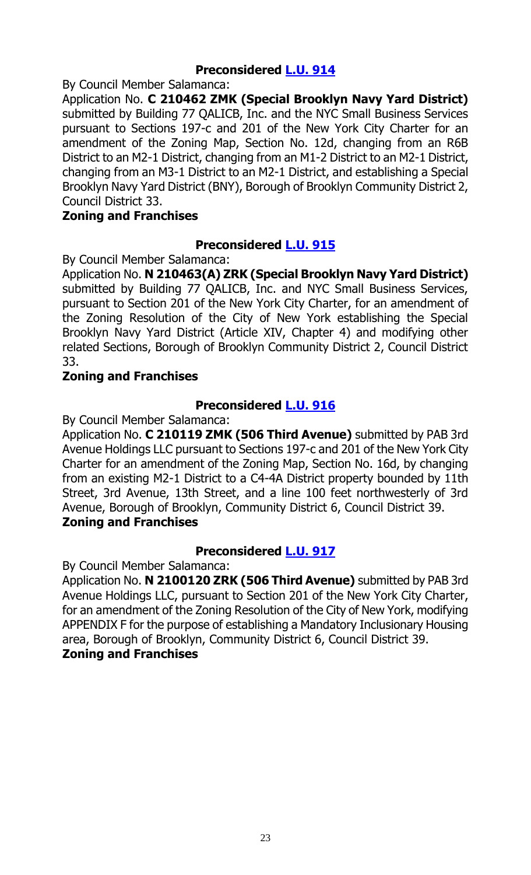# **Preconsidered [L.U. 914](https://legistar.council.nyc.gov/LegislationDetail.aspx?ID=5194461&GUID=0839DE37-C608-4491-86A6-3CDCDBA3E662&Options=ID|&Search=)**

By Council Member Salamanca:

Application No. **C 210462 ZMK (Special Brooklyn Navy Yard District)** submitted by Building 77 QALICB, Inc. and the NYC Small Business Services pursuant to Sections 197-c and 201 of the New York City Charter for an amendment of the Zoning Map, Section No. 12d, changing from an R6B District to an M2-1 District, changing from an M1-2 District to an M2-1 District, changing from an M3-1 District to an M2-1 District, and establishing a Special Brooklyn Navy Yard District (BNY), Borough of Brooklyn Community District 2, Council District 33.

#### **Zoning and Franchises**

### **Preconsidered [L.U. 915](https://legistar.council.nyc.gov/LegislationDetail.aspx?ID=5194467&GUID=061672EC-358D-44FF-A00A-5363EDFB8C0B&Options=ID|&Search=)**

By Council Member Salamanca:

Application No. **N 210463(A) ZRK (Special Brooklyn Navy Yard District)**  submitted by Building 77 QALICB, Inc. and NYC Small Business Services, pursuant to Section 201 of the New York City Charter, for an amendment of the Zoning Resolution of the City of New York establishing the Special Brooklyn Navy Yard District (Article XIV, Chapter 4) and modifying other related Sections, Borough of Brooklyn Community District 2, Council District 33.

### **Zoning and Franchises**

### **Preconsidered [L.U. 916](https://legistar.council.nyc.gov/LegislationDetail.aspx?ID=5209378&GUID=007B64CD-5AE7-420F-B09D-78FBBA245D4A&Options=ID|&Search=)**

By Council Member Salamanca:

Application No. **C 210119 ZMK (506 Third Avenue)** submitted by PAB 3rd Avenue Holdings LLC pursuant to Sections 197-c and 201 of the New York City Charter for an amendment of the Zoning Map, Section No. 16d, by changing from an existing M2-1 District to a C4-4A District property bounded by 11th Street, 3rd Avenue, 13th Street, and a line 100 feet northwesterly of 3rd Avenue, Borough of Brooklyn, Community District 6, Council District 39. **Zoning and Franchises**

# **Preconsidered [L.U. 917](https://legistar.council.nyc.gov/LegislationDetail.aspx?ID=5209379&GUID=65B15322-2C29-44BD-9A2D-E70249D32C10&Options=ID|&Search=)**

By Council Member Salamanca:

Application No. **N 2100120 ZRK (506 Third Avenue)** submitted by PAB 3rd Avenue Holdings LLC, pursuant to Section 201 of the New York City Charter, for an amendment of the Zoning Resolution of the City of New York, modifying APPENDIX F for the purpose of establishing a Mandatory Inclusionary Housing area, Borough of Brooklyn, Community District 6, Council District 39. **Zoning and Franchises**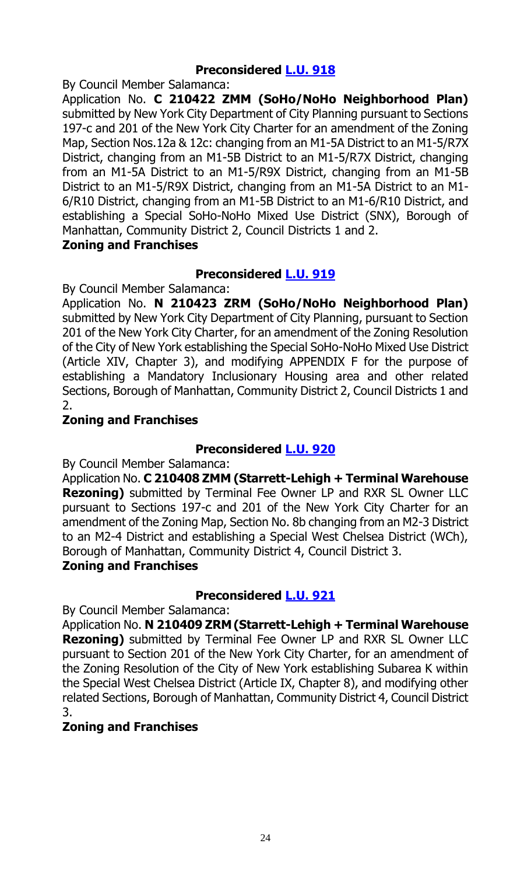# **Preconsidered [L.U. 918](https://legistar.council.nyc.gov/LegislationDetail.aspx?ID=5209380&GUID=8B4B9949-FF3C-464B-A109-C9EFA2D73132&Options=ID|&Search=)**

By Council Member Salamanca:

Application No. **C 210422 ZMM (SoHo/NoHo Neighborhood Plan)** submitted by New York City Department of City Planning pursuant to Sections 197-c and 201 of the New York City Charter for an amendment of the Zoning Map, Section Nos.12a & 12c: changing from an M1-5A District to an M1-5/R7X District, changing from an M1-5B District to an M1-5/R7X District, changing from an M1-5A District to an M1-5/R9X District, changing from an M1-5B District to an M1-5/R9X District, changing from an M1-5A District to an M1- 6/R10 District, changing from an M1-5B District to an M1-6/R10 District, and establishing a Special SoHo-NoHo Mixed Use District (SNX), Borough of Manhattan, Community District 2, Council Districts 1 and 2.

#### **Zoning and Franchises**

# **Preconsidered [L.U. 919](https://legistar.council.nyc.gov/LegislationDetail.aspx?ID=5209381&GUID=3EC3661D-E615-4CC4-84BD-47347DC415EF&Options=ID|&Search=)**

By Council Member Salamanca:

Application No. **N 210423 ZRM (SoHo/NoHo Neighborhood Plan)** submitted by New York City Department of City Planning, pursuant to Section 201 of the New York City Charter, for an amendment of the Zoning Resolution of the City of New York establishing the Special SoHo-NoHo Mixed Use District (Article XIV, Chapter 3), and modifying APPENDIX F for the purpose of establishing a Mandatory Inclusionary Housing area and other related Sections, Borough of Manhattan, Community District 2, Council Districts 1 and 2.

### **Zoning and Franchises**

# **Preconsidered [L.U. 920](https://legistar.council.nyc.gov/LegislationDetail.aspx?ID=5209382&GUID=F1832200-1513-4099-A620-A21ADF8EDA36&Options=ID|&Search=)**

By Council Member Salamanca:

Application No. **C 210408 ZMM (Starrett-Lehigh + Terminal Warehouse Rezoning)** submitted by Terminal Fee Owner LP and RXR SL Owner LLC pursuant to Sections 197-c and 201 of the New York City Charter for an amendment of the Zoning Map, Section No. 8b changing from an M2-3 District to an M2-4 District and establishing a Special West Chelsea District (WCh), Borough of Manhattan, Community District 4, Council District 3.

# **Zoning and Franchises**

# **Preconsidered [L.U. 921](https://legistar.council.nyc.gov/LegislationDetail.aspx?ID=5209383&GUID=D2540136-4D26-4913-84A8-9564275FFA8B&Options=ID|&Search=)**

By Council Member Salamanca:

Application No. **N 210409 ZRM (Starrett-Lehigh + Terminal Warehouse Rezoning)** submitted by Terminal Fee Owner LP and RXR SL Owner LLC pursuant to Section 201 of the New York City Charter, for an amendment of the Zoning Resolution of the City of New York establishing Subarea K within the Special West Chelsea District (Article IX, Chapter 8), and modifying other related Sections, Borough of Manhattan, Community District 4, Council District 3.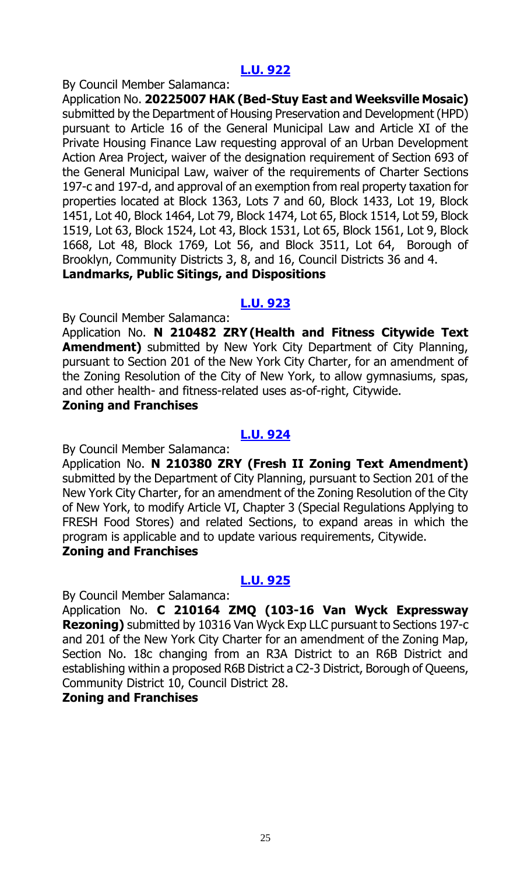#### By Council Member Salamanca:

Application No. **20225007 HAK (Bed-Stuy East and Weeksville Mosaic)** submitted by the Department of Housing Preservation and Development (HPD) pursuant to Article 16 of the General Municipal Law and Article XI of the Private Housing Finance Law requesting approval of an Urban Development Action Area Project, waiver of the designation requirement of Section 693 of the General Municipal Law, waiver of the requirements of Charter Sections 197-c and 197-d, and approval of an exemption from real property taxation for properties located at Block 1363, Lots 7 and 60, Block 1433, Lot 19, Block 1451, Lot 40, Block 1464, Lot 79, Block 1474, Lot 65, Block 1514, Lot 59, Block 1519, Lot 63, Block 1524, Lot 43, Block 1531, Lot 65, Block 1561, Lot 9, Block 1668, Lot 48, Block 1769, Lot 56, and Block 3511, Lot 64, Borough of Brooklyn, Community Districts 3, 8, and 16, Council Districts 36 and 4. **Landmarks, Public Sitings, and Dispositions** 

#### **[L.U. 923](https://legistar.council.nyc.gov/LegislationDetail.aspx?ID=5210995&GUID=26B32B27-AD3C-4D3A-B833-1575D333145D&Options=ID|&Search=)**

By Council Member Salamanca:

Application No. **N 210482 ZRY (Health and Fitness Citywide Text Amendment)** submitted by New York City Department of City Planning, pursuant to Section 201 of the New York City Charter, for an amendment of the Zoning Resolution of the City of New York, to allow gymnasiums, spas, and other health- and fitness-related uses as-of-right, Citywide.

#### **Zoning and Franchises**

### **[L.U. 924](https://legistar.council.nyc.gov/LegislationDetail.aspx?ID=5210996&GUID=79CAD879-4C38-498B-B099-F86047CB8D53&Options=ID|&Search=)**

By Council Member Salamanca:

Application No. **N 210380 ZRY (Fresh II Zoning Text Amendment)** submitted by the Department of City Planning, pursuant to Section 201 of the New York City Charter, for an amendment of the Zoning Resolution of the City of New York, to modify Article VI, Chapter 3 (Special Regulations Applying to FRESH Food Stores) and related Sections, to expand areas in which the program is applicable and to update various requirements, Citywide. **Zoning and Franchises**

#### **[L.U. 925](https://legistar.council.nyc.gov/LegislationDetail.aspx?ID=5210997&GUID=B894059E-E2C7-4837-AE6D-D11872323CB9&Options=ID|&Search=)**

By Council Member Salamanca:

Application No. **C 210164 ZMQ (103-16 Van Wyck Expressway Rezoning)** submitted by 10316 Van Wyck Exp LLC pursuant to Sections 197-c and 201 of the New York City Charter for an amendment of the Zoning Map, Section No. 18c changing from an R3A District to an R6B District and establishing within a proposed R6B District a C2-3 District, Borough of Queens, Community District 10, Council District 28.